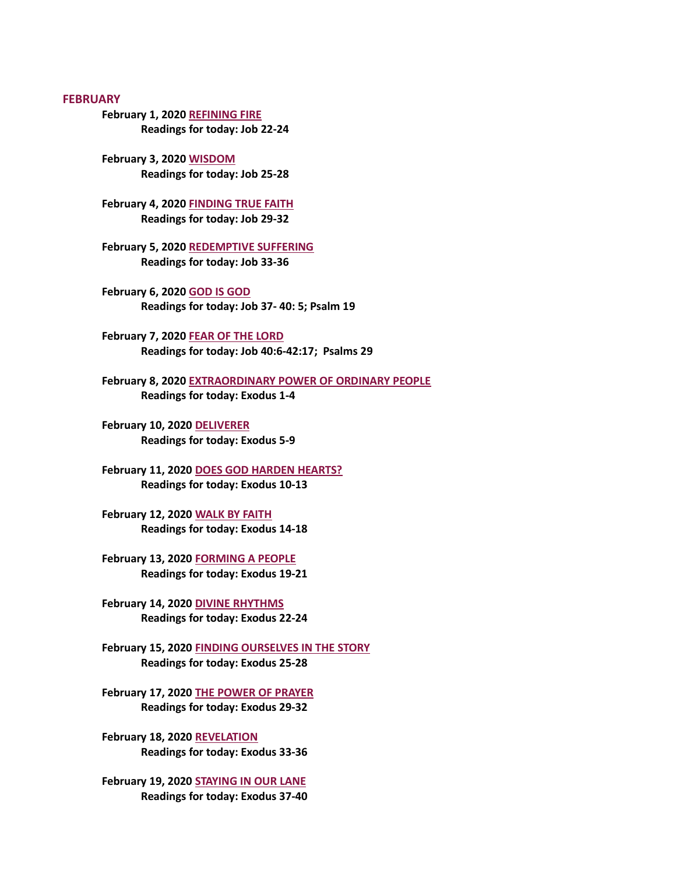**FEBRUARY** 

[February 1, 2020 REFINING FIRE](#page-2-0) Readings for today: Job 22-24

February 3, 2020 WISDOM [Readings for today: Job 25-28](#page-3-0)

[February 4, 2020 FINDING TRUE FAITH](#page-4-0) Readings for today: Job 29-32

[February 5, 2020 REDEMPTIVE SUFFERING](#page-5-0) Readings for today: Job 33-36

February 6, 2020 GOD IS GOD [Readings for today: Job 37- 40: 5; Psalm 19](#page-7-0)

February 7, 2020 FEAR OF THE LORD [Readings for today: Job 40:6-42:17; Psalms 29](#page-8-0)

[February 8, 2020 EXTRAORDINARY POWER OF ORDINARY PEOPLE](#page-9-0) Readings for today: Exodus 1-4

February 10, 2020 DELIVERER [Readings for today: Exodus 5-9](#page-10-0)

[February 11, 2020 DOES GOD HARDEN HEARTS?](#page-12-0) Readings for today: Exodus 10-13

[February 12, 2020 WALK BY FAITH](#page-14-0) Readings for today: Exodus 14-18

[February 13, 2020 FORMING A PEOPLE](#page-15-0) Readings for today: Exodus 19-21

[February 14, 2020 DIVINE RHYTHMS](#page-16-0) Readings for today: Exodus 22-24

[February 15, 2020 FINDING OURSELVES IN THE STORY](#page-17-0) Readings for today: Exodus 25-28

[February 17, 2020 THE POWER OF PRAYER](#page-19-0) Readings for today: Exodus 29-32

February 18, 2020 REVELATION [Readings for today: Exodus 33-36](#page-21-0)

[February 19, 2020 STAYING IN OUR LANE](#page-23-0) Readings for today: Exodus 37-40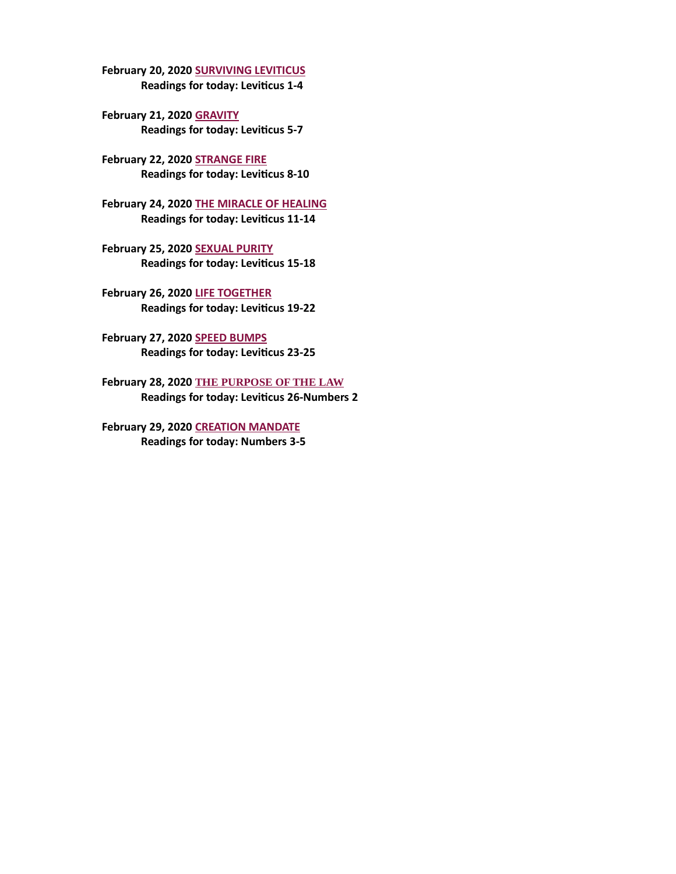[February 20, 2020 SURVIVING LEVITICUS](#page-24-0) Readings for today: Leviticus 1-4

February 21, 2020 GRAVITY Readings for today: Leviticus 5-7

February 22, 2020 STRANGE FIRE Readings for today: Leviticus 8-10

[February 24, 2020 THE MIRACLE OF HEALING](#page-29-0) Readings for today: Leviticus 11-14

February 25, 2020 SEXUAL PURITY Readings for today: Leviticus 15-18

February 26, 2020 LIFE TOGETHER Readings for today: Leviticus 19-22

February 27, 2020 SPEED BUMPS Readings for today: Leviticus 23-25

February 28, 2020 THE PURPOSE OF THE LAW Readings for today: Leviticus 26-Numbers 2

[February 29, 2020 CREATION MANDATE](#page-35-0) Readings for today: Numbers 3-5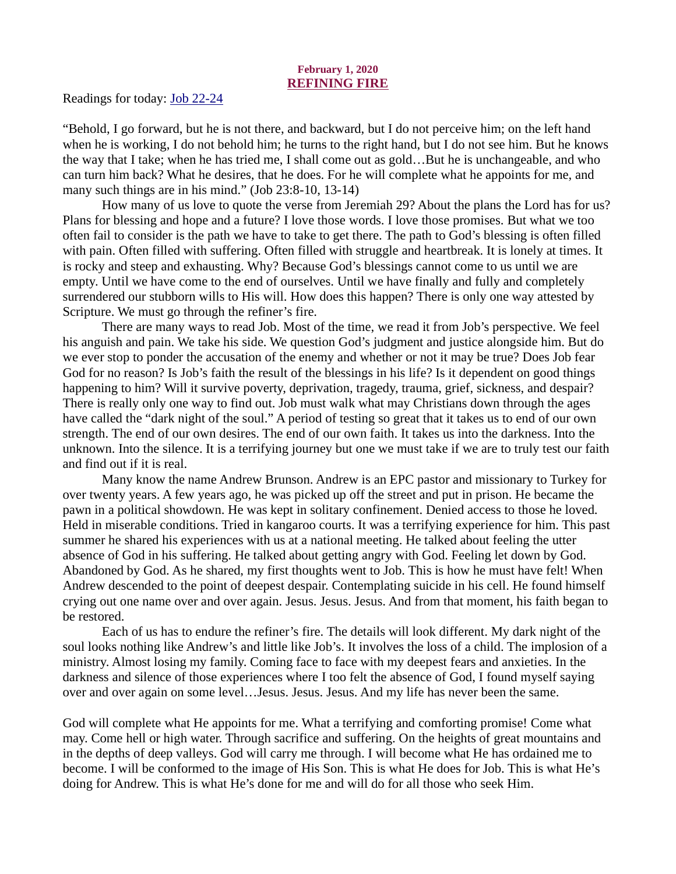# February 1, 2020 REFINING FIRE

<span id="page-2-0"></span>[Readings for today: Job 22-24](https://www.biblegateway.com/passage/?search=Job+22-24&version=ESV)

"Behold, I go forward, but he is not there, and backward, but I do not perceive him; on the left hand when he is working, I do not behold him; he turns to the right hand, but I do not see him. But he knows the way that I take; when he has tried me, I shall come out as gold…But he is unchangeable, and who can turn him back? What he desires, that he does. For he will complete what he appoints for me, and many such things are in his mind." (Job 23:8-10, 13-14)

How many of us love to quote the verse from Jeremiah 29? About the plans the Lord has for us? Plans for blessing and hope and a future? I love those words. I love those promises. But what we too often fail to consider is the path we have to take to get there. The path to God's blessing is often filled with pain. Often filled with suffering. Often filled with struggle and heartbreak. It is lonely at times. It is rocky and steep and exhausting. Why? Because God's blessings cannot come to us until we are empty. Until we have come to the end of ourselves. Until we have finally and fully and completely surrendered our stubborn wills to His will. How does this happen? There is only one way attested by Scripture. We must go through the refiner's fire.

There are many ways to read Job. Most of the time, we read it from Job's perspective. We feel his anguish and pain. We take his side. We question God's judgment and justice alongside him. But do we ever stop to ponder the accusation of the enemy and whether or not it may be true? Does Job fear God for no reason? Is Job's faith the result of the blessings in his life? Is it dependent on good things happening to him? Will it survive poverty, deprivation, tragedy, trauma, grief, sickness, and despair? There is really only one way to find out. Job must walk what may Christians down through the ages have called the "dark night of the soul." A period of testing so great that it takes us to end of our own strength. The end of our own desires. The end of our own faith. It takes us into the darkness. Into the unknown. Into the silence. It is a terrifying journey but one we must take if we are to truly test our faith and find out if it is real.

Many know the name Andrew Brunson. Andrew is an EPC pastor and missionary to Turkey for over twenty years. A few years ago, he was picked up off the street and put in prison. He became the pawn in a political showdown. He was kept in solitary confinement. Denied access to those he loved. Held in miserable conditions. Tried in kangaroo courts. It was a terrifying experience for him. This past summer he shared his experiences with us at a national meeting. He talked about feeling the utter absence of God in his suffering. He talked about getting angry with God. Feeling let down by God. Abandoned by God. As he shared, my first thoughts went to Job. This is how he must have felt! When Andrew descended to the point of deepest despair. Contemplating suicide in his cell. He found himself crying out one name over and over again. Jesus. Jesus. Jesus. And from that moment, his faith began to be restored.

Each of us has to endure the refiner's fire. The details will look different. My dark night of the soul looks nothing like Andrew's and little like Job's. It involves the loss of a child. The implosion of a ministry. Almost losing my family. Coming face to face with my deepest fears and anxieties. In the darkness and silence of those experiences where I too felt the absence of God, I found myself saying over and over again on some level…Jesus. Jesus. Jesus. And my life has never been the same.

God will complete what He appoints for me. What a terrifying and comforting promise! Come what may. Come hell or high water. Through sacrifice and suffering. On the heights of great mountains and in the depths of deep valleys. God will carry me through. I will become what He has ordained me to become. I will be conformed to the image of His Son. This is what He does for Job. This is what He's doing for Andrew. This is what He's done for me and will do for all those who seek Him.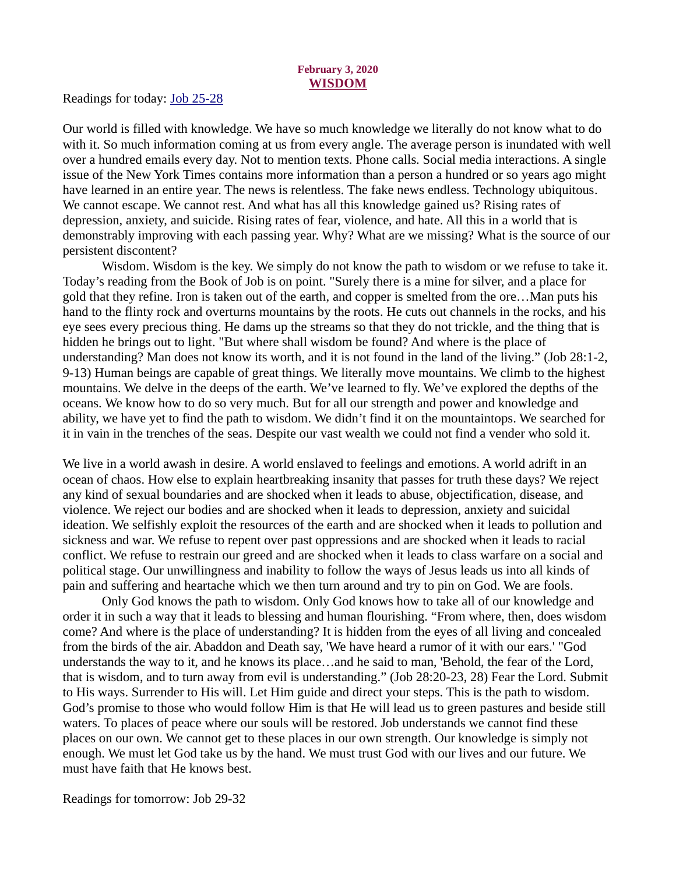### February 3, 2020 WISDOM

<span id="page-3-0"></span>[Readings for today: Job 25-28](https://www.biblegateway.com/passage/?search=Job+25-28&version=ESV)

Our world is filled with knowledge. We have so much knowledge we literally do not know what to do with it. So much information coming at us from every angle. The average person is inundated with well over a hundred emails every day. Not to mention texts. Phone calls. Social media interactions. A single issue of the New York Times contains more information than a person a hundred or so years ago might have learned in an entire year. The news is relentless. The fake news endless. Technology ubiquitous. We cannot escape. We cannot rest. And what has all this knowledge gained us? Rising rates of depression, anxiety, and suicide. Rising rates of fear, violence, and hate. All this in a world that is demonstrably improving with each passing year. Why? What are we missing? What is the source of our persistent discontent?

Wisdom. Wisdom is the key. We simply do not know the path to wisdom or we refuse to take it. Today's reading from the Book of Job is on point. "Surely there is a mine for silver, and a place for gold that they refine. Iron is taken out of the earth, and copper is smelted from the ore…Man puts his hand to the flinty rock and overturns mountains by the roots. He cuts out channels in the rocks, and his eye sees every precious thing. He dams up the streams so that they do not trickle, and the thing that is hidden he brings out to light. "But where shall wisdom be found? And where is the place of understanding? Man does not know its worth, and it is not found in the land of the living." (Job 28:1-2, 9-13) Human beings are capable of great things. We literally move mountains. We climb to the highest mountains. We delve in the deeps of the earth. We've learned to fly. We've explored the depths of the oceans. We know how to do so very much. But for all our strength and power and knowledge and ability, we have yet to find the path to wisdom. We didn't find it on the mountaintops. We searched for it in vain in the trenches of the seas. Despite our vast wealth we could not find a vender who sold it.

We live in a world awash in desire. A world enslaved to feelings and emotions. A world adrift in an ocean of chaos. How else to explain heartbreaking insanity that passes for truth these days? We reject any kind of sexual boundaries and are shocked when it leads to abuse, objectification, disease, and violence. We reject our bodies and are shocked when it leads to depression, anxiety and suicidal ideation. We selfishly exploit the resources of the earth and are shocked when it leads to pollution and sickness and war. We refuse to repent over past oppressions and are shocked when it leads to racial conflict. We refuse to restrain our greed and are shocked when it leads to class warfare on a social and political stage. Our unwillingness and inability to follow the ways of Jesus leads us into all kinds of pain and suffering and heartache which we then turn around and try to pin on God. We are fools.

Only God knows the path to wisdom. Only God knows how to take all of our knowledge and order it in such a way that it leads to blessing and human flourishing. "From where, then, does wisdom come? And where is the place of understanding? It is hidden from the eyes of all living and concealed from the birds of the air. Abaddon and Death say, 'We have heard a rumor of it with our ears.' "God understands the way to it, and he knows its place…and he said to man, 'Behold, the fear of the Lord, that is wisdom, and to turn away from evil is understanding." (Job 28:20-23, 28) Fear the Lord. Submit to His ways. Surrender to His will. Let Him guide and direct your steps. This is the path to wisdom. God's promise to those who would follow Him is that He will lead us to green pastures and beside still waters. To places of peace where our souls will be restored. Job understands we cannot find these places on our own. We cannot get to these places in our own strength. Our knowledge is simply not enough. We must let God take us by the hand. We must trust God with our lives and our future. We must have faith that He knows best.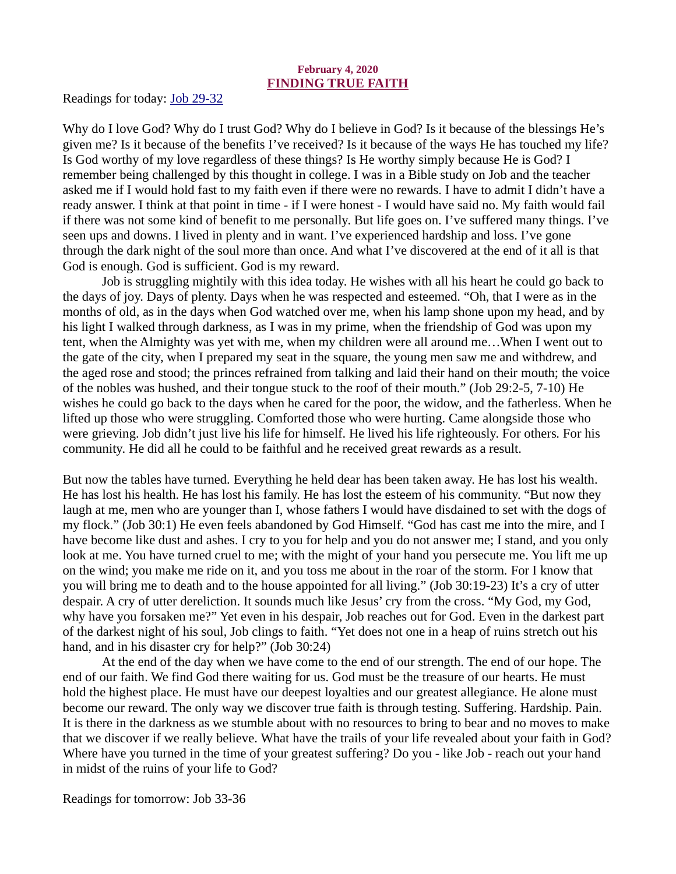# February 4, 2020 FINDING TRUE FAITH

<span id="page-4-0"></span>[Readings for today: Job 29-32](https://www.biblegateway.com/passage/?search=Job+29-32&version=ESV)

Why do I love God? Why do I trust God? Why do I believe in God? Is it because of the blessings He's given me? Is it because of the benefits I've received? Is it because of the ways He has touched my life? Is God worthy of my love regardless of these things? Is He worthy simply because He is God? I remember being challenged by this thought in college. I was in a Bible study on Job and the teacher asked me if I would hold fast to my faith even if there were no rewards. I have to admit I didn't have a ready answer. I think at that point in time - if I were honest - I would have said no. My faith would fail if there was not some kind of benefit to me personally. But life goes on. I've suffered many things. I've seen ups and downs. I lived in plenty and in want. I've experienced hardship and loss. I've gone through the dark night of the soul more than once. And what I've discovered at the end of it all is that God is enough. God is sufficient. God is my reward.

Job is struggling mightily with this idea today. He wishes with all his heart he could go back to the days of joy. Days of plenty. Days when he was respected and esteemed. "Oh, that I were as in the months of old, as in the days when God watched over me, when his lamp shone upon my head, and by his light I walked through darkness, as I was in my prime, when the friendship of God was upon my tent, when the Almighty was yet with me, when my children were all around me…When I went out to the gate of the city, when I prepared my seat in the square, the young men saw me and withdrew, and the aged rose and stood; the princes refrained from talking and laid their hand on their mouth; the voice of the nobles was hushed, and their tongue stuck to the roof of their mouth." (Job 29:2-5, 7-10) He wishes he could go back to the days when he cared for the poor, the widow, and the fatherless. When he lifted up those who were struggling. Comforted those who were hurting. Came alongside those who were grieving. Job didn't just live his life for himself. He lived his life righteously. For others. For his community. He did all he could to be faithful and he received great rewards as a result.

But now the tables have turned. Everything he held dear has been taken away. He has lost his wealth. He has lost his health. He has lost his family. He has lost the esteem of his community. "But now they laugh at me, men who are younger than I, whose fathers I would have disdained to set with the dogs of my flock." (Job 30:1) He even feels abandoned by God Himself. "God has cast me into the mire, and I have become like dust and ashes. I cry to you for help and you do not answer me; I stand, and you only look at me. You have turned cruel to me; with the might of your hand you persecute me. You lift me up on the wind; you make me ride on it, and you toss me about in the roar of the storm. For I know that you will bring me to death and to the house appointed for all living." (Job 30:19-23) It's a cry of utter despair. A cry of utter dereliction. It sounds much like Jesus' cry from the cross. "My God, my God, why have you forsaken me?" Yet even in his despair, Job reaches out for God. Even in the darkest part of the darkest night of his soul, Job clings to faith. "Yet does not one in a heap of ruins stretch out his hand, and in his disaster cry for help?" (Job 30:24)

At the end of the day when we have come to the end of our strength. The end of our hope. The end of our faith. We find God there waiting for us. God must be the treasure of our hearts. He must hold the highest place. He must have our deepest loyalties and our greatest allegiance. He alone must become our reward. The only way we discover true faith is through testing. Suffering. Hardship. Pain. It is there in the darkness as we stumble about with no resources to bring to bear and no moves to make that we discover if we really believe. What have the trails of your life revealed about your faith in God? Where have you turned in the time of your greatest suffering? Do you - like Job - reach out your hand in midst of the ruins of your life to God?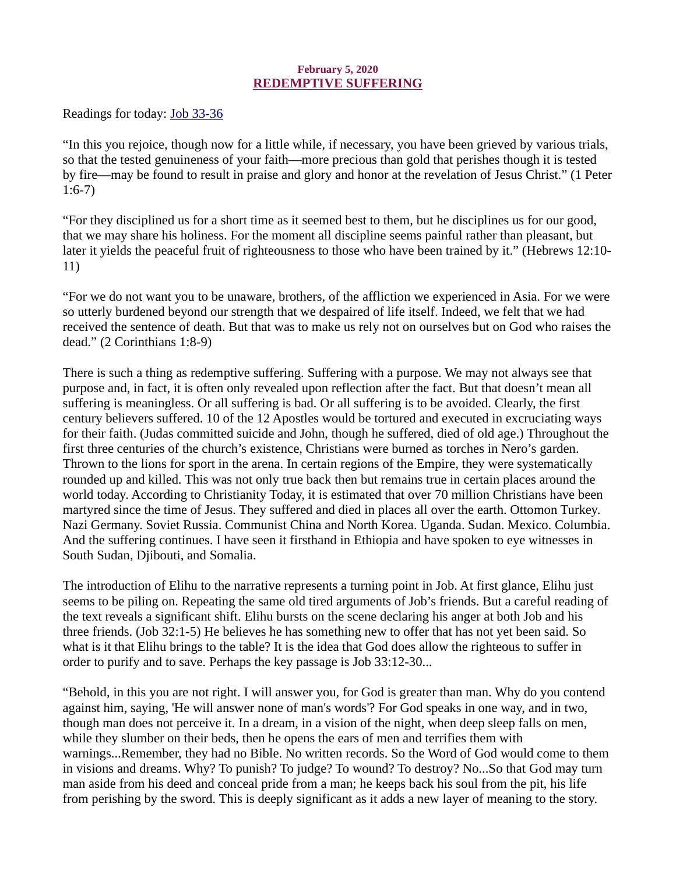# February 5, 2020 REDEMPTIVE SUFFERING

<span id="page-5-0"></span>[Readings for today: Job 33-36](https://www.biblegateway.com/passage/?search=Job+33-36&version=ESV)

"In this you rejoice, though now for a little while, if necessary, you have been grieved by various trials, so that the tested genuineness of your faith—more precious than gold that perishes though it is tested by fire—may be found to result in praise and glory and honor at the revelation of Jesus Christ." (1 Peter 1:6-7)

"For they disciplined us for a short time as it seemed best to them, but he disciplines us for our good, that we may share his holiness. For the moment all discipline seems painful rather than pleasant, but later it yields the peaceful fruit of righteousness to those who have been trained by it." (Hebrews 12:10- 11)

"For we do not want you to be unaware, brothers, of the affliction we experienced in Asia. For we were so utterly burdened beyond our strength that we despaired of life itself. Indeed, we felt that we had received the sentence of death. But that was to make us rely not on ourselves but on God who raises the dead." (2 Corinthians 1:8-9)

There is such a thing as redemptive suffering. Suffering with a purpose. We may not always see that purpose and, in fact, it is often only revealed upon reflection after the fact. But that doesn't mean all suffering is meaningless. Or all suffering is bad. Or all suffering is to be avoided. Clearly, the first century believers suffered. 10 of the 12 Apostles would be tortured and executed in excruciating ways for their faith. (Judas committed suicide and John, though he suffered, died of old age.) Throughout the first three centuries of the church's existence, Christians were burned as torches in Nero's garden. Thrown to the lions for sport in the arena. In certain regions of the Empire, they were systematically rounded up and killed. This was not only true back then but remains true in certain places around the world today. According to Christianity Today, it is estimated that over 70 million Christians have been martyred since the time of Jesus. They suffered and died in places all over the earth. Ottomon Turkey. Nazi Germany. Soviet Russia. Communist China and North Korea. Uganda. Sudan. Mexico. Columbia. And the suffering continues. I have seen it firsthand in Ethiopia and have spoken to eye witnesses in South Sudan, Djibouti, and Somalia.

The introduction of Elihu to the narrative represents a turning point in Job. At first glance, Elihu just seems to be piling on. Repeating the same old tired arguments of Job's friends. But a careful reading of the text reveals a significant shift. Elihu bursts on the scene declaring his anger at both Job and his three friends. (Job 32:1-5) He believes he has something new to offer that has not yet been said. So what is it that Elihu brings to the table? It is the idea that God does allow the righteous to suffer in order to purify and to save. Perhaps the key passage is Job 33:12-30...

"Behold, in this you are not right. I will answer you, for God is greater than man. Why do you contend against him, saying, 'He will answer none of man's words'? For God speaks in one way, and in two, though man does not perceive it. In a dream, in a vision of the night, when deep sleep falls on men, while they slumber on their beds, then he opens the ears of men and terrifies them with warnings...Remember, they had no Bible. No written records. So the Word of God would come to them in visions and dreams. Why? To punish? To judge? To wound? To destroy? No...So that God may turn man aside from his deed and conceal pride from a man; he keeps back his soul from the pit, his life from perishing by the sword. This is deeply significant as it adds a new layer of meaning to the story.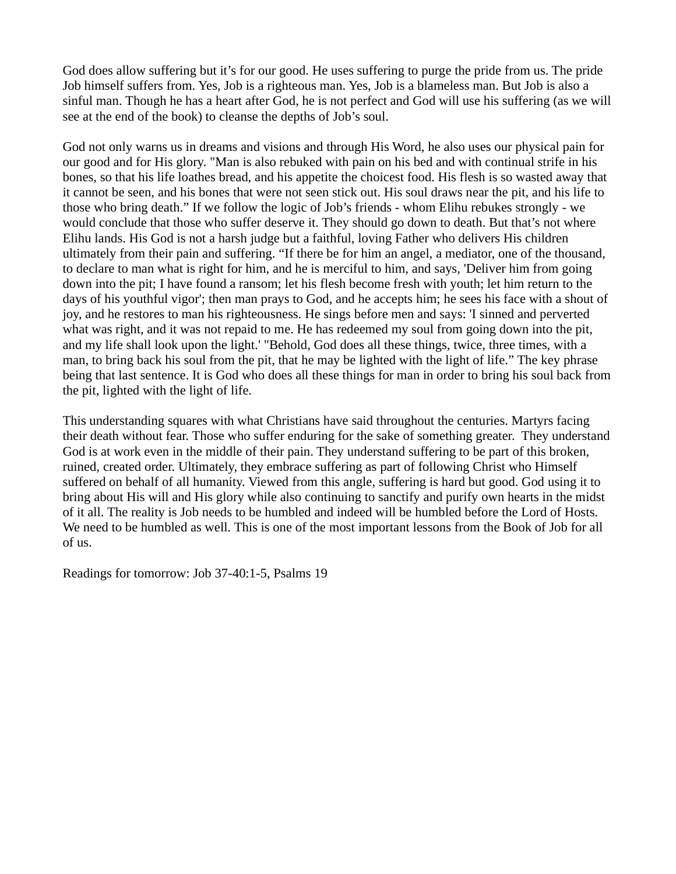God does allow suffering but it's for our good. He uses suffering to purge the pride from us. The pride Job himself suffers from. Yes, Job is a righteous man. Yes, Job is a blameless man. But Job is also a sinful man. Though he has a heart after God, he is not perfect and God will use his suffering (as we will see at the end of the book) to cleanse the depths of Job's soul.

God not only warns us in dreams and visions and through His Word, he also uses our physical pain for our good and for His glory. "Man is also rebuked with pain on his bed and with continual strife in his bones, so that his life loathes bread, and his appetite the choicest food. His flesh is so wasted away that it cannot be seen, and his bones that were not seen stick out. His soul draws near the pit, and his life to those who bring death." If we follow the logic of Job's friends - whom Elihu rebukes strongly - we would conclude that those who suffer deserve it. They should go down to death. But that's not where Elihu lands. His God is not a harsh judge but a faithful, loving Father who delivers His children ultimately from their pain and suffering. "If there be for him an angel, a mediator, one of the thousand, to declare to man what is right for him, and he is merciful to him, and says, 'Deliver him from going down into the pit; I have found a ransom; let his flesh become fresh with youth; let him return to the days of his youthful vigor'; then man prays to God, and he accepts him; he sees his face with a shout of joy, and he restores to man his righteousness. He sings before men and says: 'I sinned and perverted what was right, and it was not repaid to me. He has redeemed my soul from going down into the pit, and my life shall look upon the light.' "Behold, God does all these things, twice, three times, with a man, to bring back his soul from the pit, that he may be lighted with the light of life." The key phrase being that last sentence. It is God who does all these things for man in order to bring his soul back from the pit, lighted with the light of life.

This understanding squares with what Christians have said throughout the centuries. Martyrs facing their death without fear. Those who suffer enduring for the sake of something greater. They understand God is at work even in the middle of their pain. They understand suffering to be part of this broken, ruined, created order. Ultimately, they embrace suffering as part of following Christ who Himself suffered on behalf of all humanity. Viewed from this angle, suffering is hard but good. God using it to bring about His will and His glory while also continuing to sanctify and purify own hearts in the midst of it all. The reality is Job needs to be humbled and indeed will be humbled before the Lord of Hosts. We need to be humbled as well. This is one of the most important lessons from the Book of Job for all of us.

Readings for tomorrow: Job 37-40:1-5, Psalms 19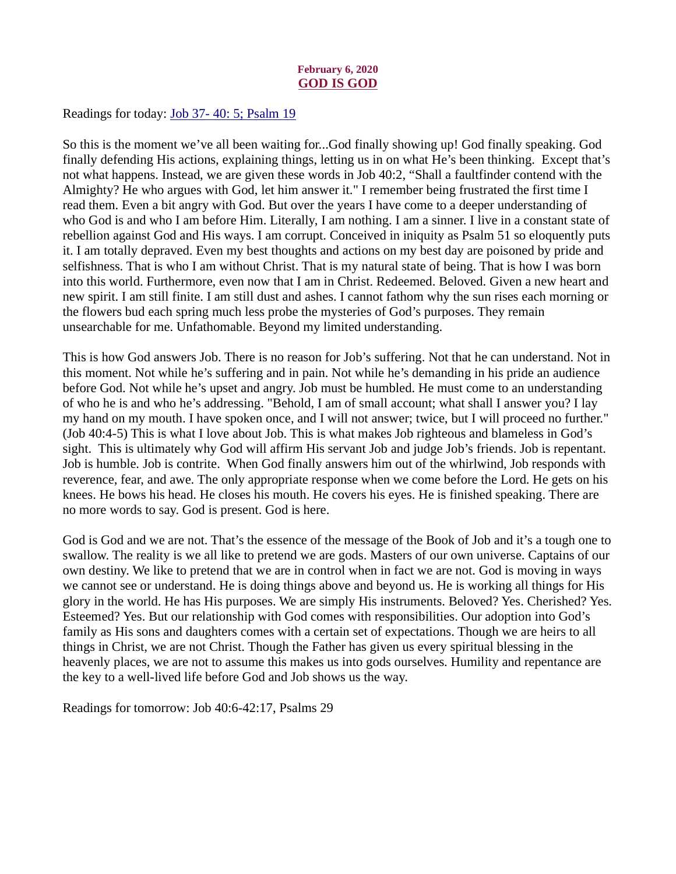# February 6, 2020 GOD IS GOD

<span id="page-7-0"></span>Readings for today: Job 37-40: 5; Psalm 19

So this is the moment we've all been waiting for...God finally showing up! God finally speaking. God finally defending His actions, explaining things, letting us in on what He's been thinking. Except that's not what happens. Instead, we are given these words in Job 40:2, "Shall a faultfinder contend with the Almighty? He who argues with God, let him answer it." I remember being frustrated the first time I read them. Even a bit angry with God. But over the years I have come to a deeper understanding of who God is and who I am before Him. Literally, I am nothing. I am a sinner. I live in a constant state of rebellion against God and His ways. I am corrupt. Conceived in iniquity as Psalm 51 so eloquently puts it. I am totally depraved. Even my best thoughts and actions on my best day are poisoned by pride and selfishness. That is who I am without Christ. That is my natural state of being. That is how I was born into this world. Furthermore, even now that I am in Christ. Redeemed. Beloved. Given a new heart and new spirit. I am still finite. I am still dust and ashes. I cannot fathom why the sun rises each morning or the flowers bud each spring much less probe the mysteries of God's purposes. They remain unsearchable for me. Unfathomable. Beyond my limited understanding.

This is how God answers Job. There is no reason for Job's suffering. Not that he can understand. Not in this moment. Not while he's suffering and in pain. Not while he's demanding in his pride an audience before God. Not while he's upset and angry. Job must be humbled. He must come to an understanding of who he is and who he's addressing. "Behold, I am of small account; what shall I answer you? I lay my hand on my mouth. I have spoken once, and I will not answer; twice, but I will proceed no further." (Job 40:4-5) This is what I love about Job. This is what makes Job righteous and blameless in God's sight. This is ultimately why God will affirm His servant Job and judge Job's friends. Job is repentant. Job is humble. Job is contrite. When God finally answers him out of the whirlwind, Job responds with reverence, fear, and awe. The only appropriate response when we come before the Lord. He gets on his knees. He bows his head. He closes his mouth. He covers his eyes. He is finished speaking. There are no more words to say. God is present. God is here.

God is God and we are not. That's the essence of the message of the Book of Job and it's a tough one to swallow. The reality is we all like to pretend we are gods. Masters of our own universe. Captains of our own destiny. We like to pretend that we are in control when in fact we are not. God is moving in ways we cannot see or understand. He is doing things above and beyond us. He is working all things for His glory in the world. He has His purposes. We are simply His instruments. Beloved? Yes. Cherished? Yes. Esteemed? Yes. But our relationship with God comes with responsibilities. Our adoption into God's family as His sons and daughters comes with a certain set of expectations. Though we are heirs to all things in Christ, we are not Christ. Though the Father has given us every spiritual blessing in the heavenly places, we are not to assume this makes us into gods ourselves. Humility and repentance are the key to a well-lived life before God and Job shows us the way.

Readings for tomorrow: Job 40:6-42:17, Psalms 29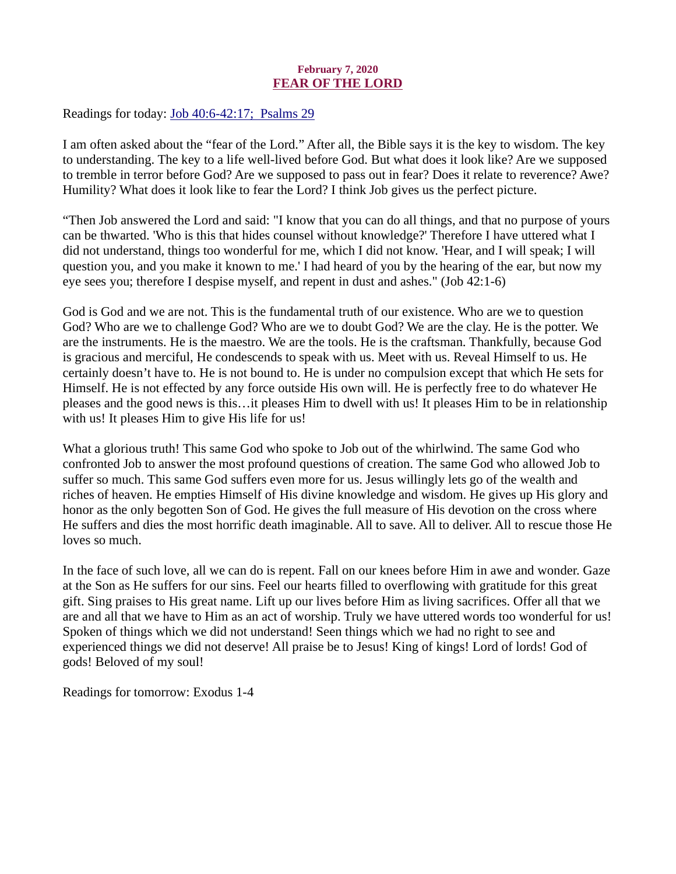# February 7, 2020 FEAR OF THE LORD

<span id="page-8-0"></span>[Readings for today: Job 40:6-42:17; Psalms 29](https://www.biblegateway.com/passage/?search=Job+40%3A6-42%3A17%3B++Psalms+29&version=ESV)

I am often asked about the "fear of the Lord." After all, the Bible says it is the key to wisdom. The key to understanding. The key to a life well-lived before God. But what does it look like? Are we supposed to tremble in terror before God? Are we supposed to pass out in fear? Does it relate to reverence? Awe? Humility? What does it look like to fear the Lord? I think Job gives us the perfect picture.

"Then Job answered the Lord and said: "I know that you can do all things, and that no purpose of yours can be thwarted. 'Who is this that hides counsel without knowledge?' Therefore I have uttered what I did not understand, things too wonderful for me, which I did not know. 'Hear, and I will speak; I will question you, and you make it known to me.' I had heard of you by the hearing of the ear, but now my eye sees you; therefore I despise myself, and repent in dust and ashes." (Job 42:1-6)

God is God and we are not. This is the fundamental truth of our existence. Who are we to question God? Who are we to challenge God? Who are we to doubt God? We are the clay. He is the potter. We are the instruments. He is the maestro. We are the tools. He is the craftsman. Thankfully, because God is gracious and merciful, He condescends to speak with us. Meet with us. Reveal Himself to us. He certainly doesn't have to. He is not bound to. He is under no compulsion except that which He sets for Himself. He is not effected by any force outside His own will. He is perfectly free to do whatever He pleases and the good news is this…it pleases Him to dwell with us! It pleases Him to be in relationship with us! It pleases Him to give His life for us!

What a glorious truth! This same God who spoke to Job out of the whirlwind. The same God who confronted Job to answer the most profound questions of creation. The same God who allowed Job to suffer so much. This same God suffers even more for us. Jesus willingly lets go of the wealth and riches of heaven. He empties Himself of His divine knowledge and wisdom. He gives up His glory and honor as the only begotten Son of God. He gives the full measure of His devotion on the cross where He suffers and dies the most horrific death imaginable. All to save. All to deliver. All to rescue those He loves so much.

In the face of such love, all we can do is repent. Fall on our knees before Him in awe and wonder. Gaze at the Son as He suffers for our sins. Feel our hearts filled to overflowing with gratitude for this great gift. Sing praises to His great name. Lift up our lives before Him as living sacrifices. Offer all that we are and all that we have to Him as an act of worship. Truly we have uttered words too wonderful for us! Spoken of things which we did not understand! Seen things which we had no right to see and experienced things we did not deserve! All praise be to Jesus! King of kings! Lord of lords! God of gods! Beloved of my soul!

Readings for tomorrow: Exodus 1-4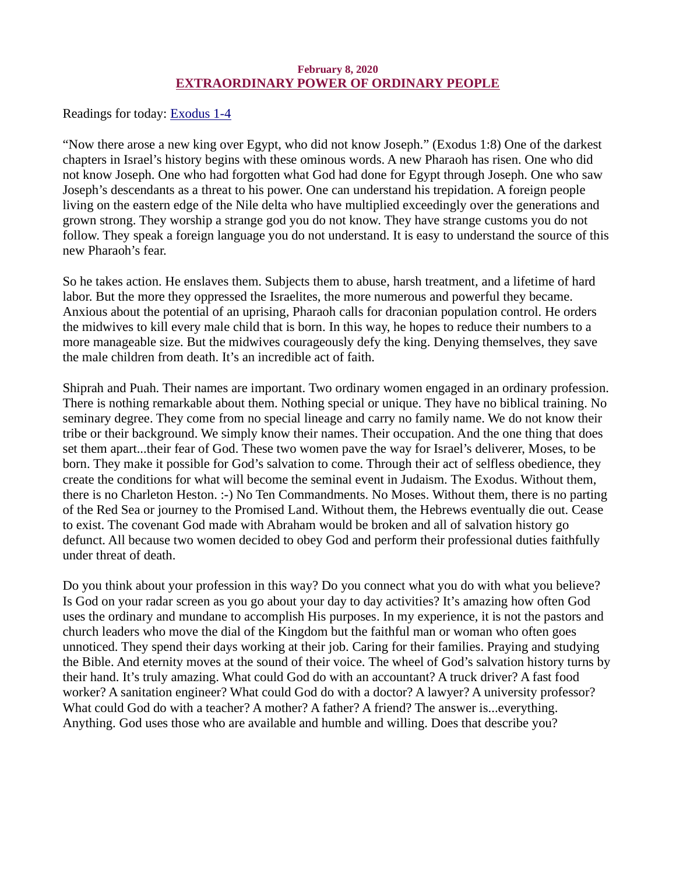# February 8, 2020 EXTRAORDINARY POWER OF ORDINARY PEOPLE

<span id="page-9-0"></span>[Readings for today: Exodus 1-4](https://www.biblegateway.com/passage/?search=Exodus+1-4&version=ESV)

"Now there arose a new king over Egypt, who did not know Joseph." (Exodus 1:8) One of the darkest chapters in Israel's history begins with these ominous words. A new Pharaoh has risen. One who did not know Joseph. One who had forgotten what God had done for Egypt through Joseph. One who saw Joseph's descendants as a threat to his power. One can understand his trepidation. A foreign people living on the eastern edge of the Nile delta who have multiplied exceedingly over the generations and grown strong. They worship a strange god you do not know. They have strange customs you do not follow. They speak a foreign language you do not understand. It is easy to understand the source of this new Pharaoh's fear.

So he takes action. He enslaves them. Subjects them to abuse, harsh treatment, and a lifetime of hard labor. But the more they oppressed the Israelites, the more numerous and powerful they became. Anxious about the potential of an uprising, Pharaoh calls for draconian population control. He orders the midwives to kill every male child that is born. In this way, he hopes to reduce their numbers to a more manageable size. But the midwives courageously defy the king. Denying themselves, they save the male children from death. It's an incredible act of faith.

Shiprah and Puah. Their names are important. Two ordinary women engaged in an ordinary profession. There is nothing remarkable about them. Nothing special or unique. They have no biblical training. No seminary degree. They come from no special lineage and carry no family name. We do not know their tribe or their background. We simply know their names. Their occupation. And the one thing that does set them apart...their fear of God. These two women pave the way for Israel's deliverer, Moses, to be born. They make it possible for God's salvation to come. Through their act of selfless obedience, they create the conditions for what will become the seminal event in Judaism. The Exodus. Without them, there is no Charleton Heston. :-) No Ten Commandments. No Moses. Without them, there is no parting of the Red Sea or journey to the Promised Land. Without them, the Hebrews eventually die out. Cease to exist. The covenant God made with Abraham would be broken and all of salvation history go defunct. All because two women decided to obey God and perform their professional duties faithfully under threat of death.

Do you think about your profession in this way? Do you connect what you do with what you believe? Is God on your radar screen as you go about your day to day activities? It's amazing how often God uses the ordinary and mundane to accomplish His purposes. In my experience, it is not the pastors and church leaders who move the dial of the Kingdom but the faithful man or woman who often goes unnoticed. They spend their days working at their job. Caring for their families. Praying and studying the Bible. And eternity moves at the sound of their voice. The wheel of God's salvation history turns by their hand. It's truly amazing. What could God do with an accountant? A truck driver? A fast food worker? A sanitation engineer? What could God do with a doctor? A lawyer? A university professor? What could God do with a teacher? A mother? A father? A friend? The answer is...everything. Anything. God uses those who are available and humble and willing. Does that describe you?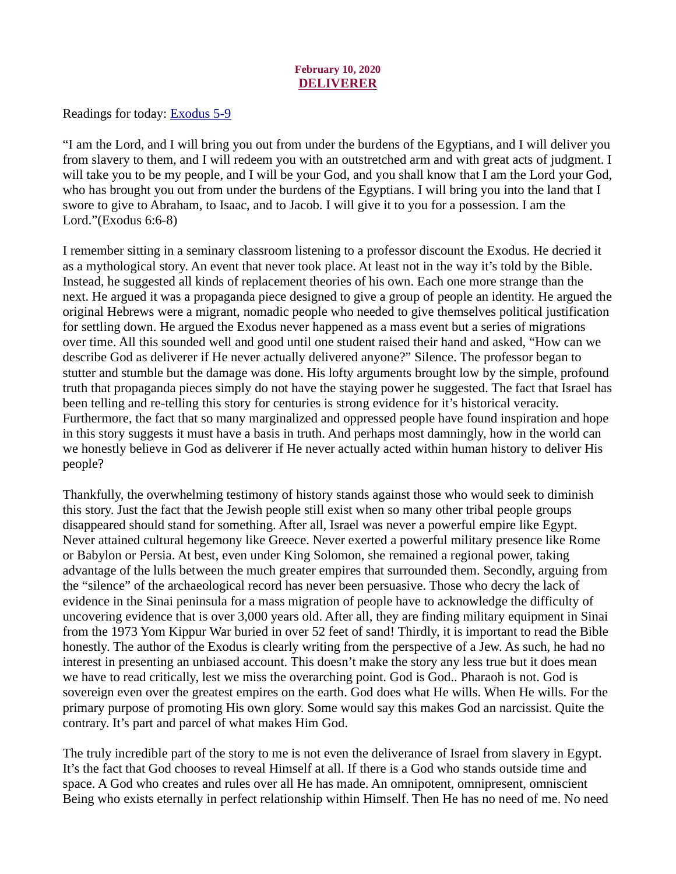# February 10, 2020 DELIVERER

<span id="page-10-0"></span>[Readings for today: Exodus 5-9](https://www.biblegateway.com/passage/?search=Exodus+5-9&version=ESV)

"I am the Lord, and I will bring you out from under the burdens of the Egyptians, and I will deliver you from slavery to them, and I will redeem you with an outstretched arm and with great acts of judgment. I will take you to be my people, and I will be your God, and you shall know that I am the Lord your God, who has brought you out from under the burdens of the Egyptians. I will bring you into the land that I swore to give to Abraham, to Isaac, and to Jacob. I will give it to you for a possession. I am the Lord."(Exodus 6:6-8)

I remember sitting in a seminary classroom listening to a professor discount the Exodus. He decried it as a mythological story. An event that never took place. At least not in the way it's told by the Bible. Instead, he suggested all kinds of replacement theories of his own. Each one more strange than the next. He argued it was a propaganda piece designed to give a group of people an identity. He argued the original Hebrews were a migrant, nomadic people who needed to give themselves political justification for settling down. He argued the Exodus never happened as a mass event but a series of migrations over time. All this sounded well and good until one student raised their hand and asked, "How can we describe God as deliverer if He never actually delivered anyone?" Silence. The professor began to stutter and stumble but the damage was done. His lofty arguments brought low by the simple, profound truth that propaganda pieces simply do not have the staying power he suggested. The fact that Israel has been telling and re-telling this story for centuries is strong evidence for it's historical veracity. Furthermore, the fact that so many marginalized and oppressed people have found inspiration and hope in this story suggests it must have a basis in truth. And perhaps most damningly, how in the world can we honestly believe in God as deliverer if He never actually acted within human history to deliver His people?

Thankfully, the overwhelming testimony of history stands against those who would seek to diminish this story. Just the fact that the Jewish people still exist when so many other tribal people groups disappeared should stand for something. After all, Israel was never a powerful empire like Egypt. Never attained cultural hegemony like Greece. Never exerted a powerful military presence like Rome or Babylon or Persia. At best, even under King Solomon, she remained a regional power, taking advantage of the lulls between the much greater empires that surrounded them. Secondly, arguing from the "silence" of the archaeological record has never been persuasive. Those who decry the lack of evidence in the Sinai peninsula for a mass migration of people have to acknowledge the difficulty of uncovering evidence that is over 3,000 years old. After all, they are finding military equipment in Sinai from the 1973 Yom Kippur War buried in over 52 feet of sand! Thirdly, it is important to read the Bible honestly. The author of the Exodus is clearly writing from the perspective of a Jew. As such, he had no interest in presenting an unbiased account. This doesn't make the story any less true but it does mean we have to read critically, lest we miss the overarching point. God is God.. Pharaoh is not. God is sovereign even over the greatest empires on the earth. God does what He wills. When He wills. For the primary purpose of promoting His own glory. Some would say this makes God an narcissist. Quite the contrary. It's part and parcel of what makes Him God.

The truly incredible part of the story to me is not even the deliverance of Israel from slavery in Egypt. It's the fact that God chooses to reveal Himself at all. If there is a God who stands outside time and space. A God who creates and rules over all He has made. An omnipotent, omnipresent, omniscient Being who exists eternally in perfect relationship within Himself. Then He has no need of me. No need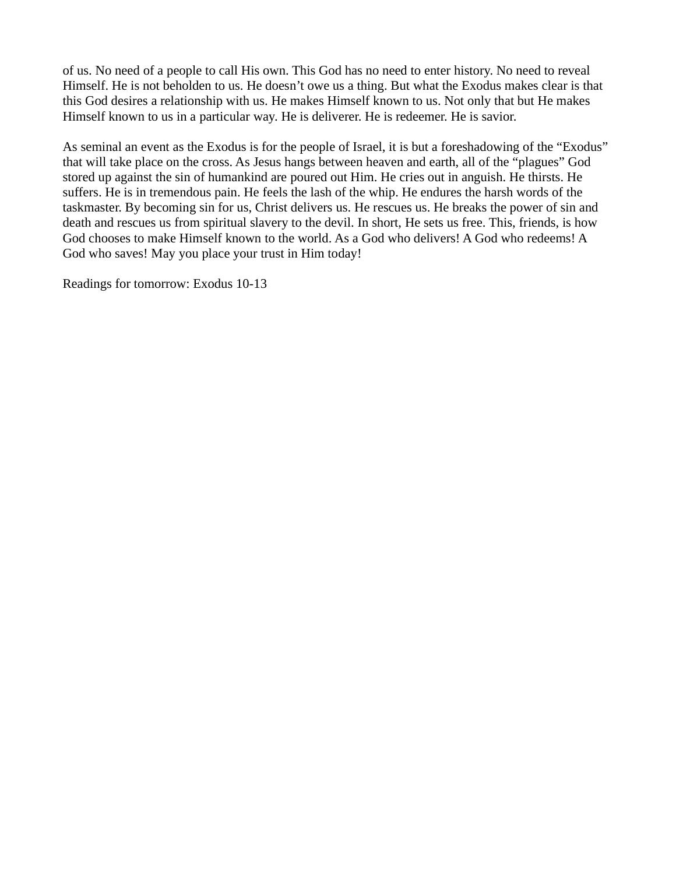of us. No need of a people to call His own. This God has no need to enter history. No need to reveal Himself. He is not beholden to us. He doesn't owe us a thing. But what the Exodus makes clear is that this God desires a relationship with us. He makes Himself known to us. Not only that but He makes Himself known to us in a particular way. He is deliverer. He is redeemer. He is savior.

As seminal an event as the Exodus is for the people of Israel, it is but a foreshadowing of the "Exodus" that will take place on the cross. As Jesus hangs between heaven and earth, all of the "plagues" God stored up against the sin of humankind are poured out Him. He cries out in anguish. He thirsts. He suffers. He is in tremendous pain. He feels the lash of the whip. He endures the harsh words of the taskmaster. By becoming sin for us, Christ delivers us. He rescues us. He breaks the power of sin and death and rescues us from spiritual slavery to the devil. In short, He sets us free. This, friends, is how God chooses to make Himself known to the world. As a God who delivers! A God who redeems! A God who saves! May you place your trust in Him today!

Readings for tomorrow: Exodus 10-13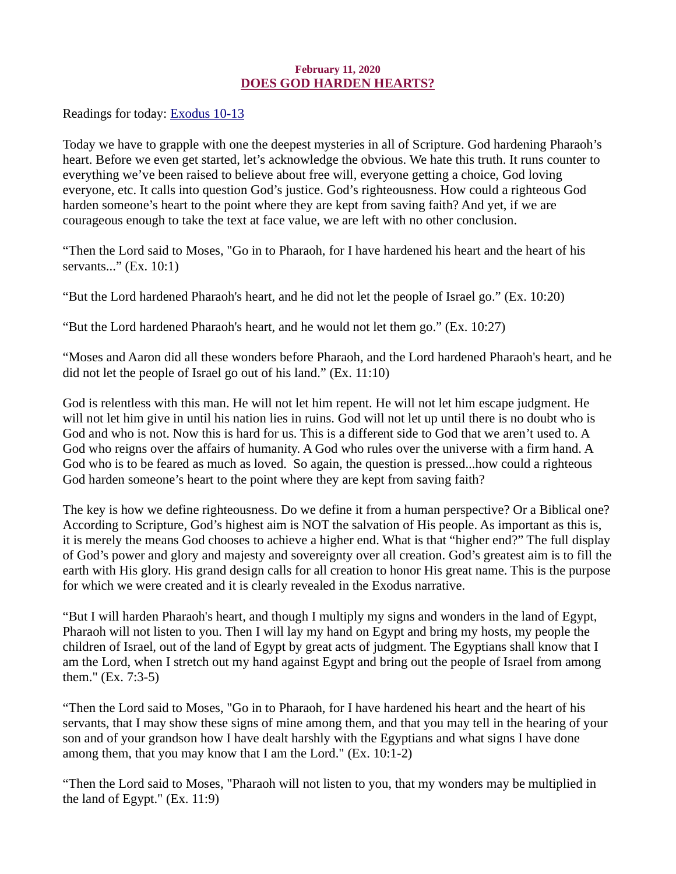### February 11, 2020 DOES GOD HARDEN HEARTS?

<span id="page-12-0"></span>Readings for today: **Exodus 10-13** 

Today we have to grapple with one the deepest mysteries in all of Scripture. God hardening Pharaoh's heart. Before we even get started, let's acknowledge the obvious. We hate this truth. It runs counter to everything we've been raised to believe about free will, everyone getting a choice, God loving everyone, etc. It calls into question God's justice. God's righteousness. How could a righteous God harden someone's heart to the point where they are kept from saving faith? And yet, if we are courageous enough to take the text at face value, we are left with no other conclusion.

"Then the Lord said to Moses, "Go in to Pharaoh, for I have hardened his heart and the heart of his servants..." (Ex. 10:1)

"But the Lord hardened Pharaoh's heart, and he did not let the people of Israel go." (Ex. 10:20)

"But the Lord hardened Pharaoh's heart, and he would not let them go."  $(Ex, 10:27)$ 

"Moses and Aaron did all these wonders before Pharaoh, and the Lord hardened Pharaoh's heart, and he did not let the people of Israel go out of his land." (Ex. 11:10)

God is relentless with this man. He will not let him repent. He will not let him escape judgment. He will not let him give in until his nation lies in ruins. God will not let up until there is no doubt who is God and who is not. Now this is hard for us. This is a different side to God that we aren't used to. A God who reigns over the affairs of humanity. A God who rules over the universe with a firm hand. A God who is to be feared as much as loved. So again, the question is pressed...how could a righteous God harden someone's heart to the point where they are kept from saving faith?

The key is how we define righteousness. Do we define it from a human perspective? Or a Biblical one? According to Scripture, God's highest aim is NOT the salvation of His people. As important as this is, it is merely the means God chooses to achieve a higher end. What is that "higher end?" The full display of God's power and glory and majesty and sovereignty over all creation. God's greatest aim is to fill the earth with His glory. His grand design calls for all creation to honor His great name. This is the purpose for which we were created and it is clearly revealed in the Exodus narrative.

"But I will harden Pharaoh's heart, and though I multiply my signs and wonders in the land of Egypt, Pharaoh will not listen to you. Then I will lay my hand on Egypt and bring my hosts, my people the children of Israel, out of the land of Egypt by great acts of judgment. The Egyptians shall know that I am the Lord, when I stretch out my hand against Egypt and bring out the people of Israel from among them." (Ex. 7:3-5)

"Then the Lord said to Moses, "Go in to Pharaoh, for I have hardened his heart and the heart of his servants, that I may show these signs of mine among them, and that you may tell in the hearing of your son and of your grandson how I have dealt harshly with the Egyptians and what signs I have done among them, that you may know that I am the Lord." (Ex. 10:1-2)

"Then the Lord said to Moses, "Pharaoh will not listen to you, that my wonders may be multiplied in the land of Egypt." (Ex. 11:9)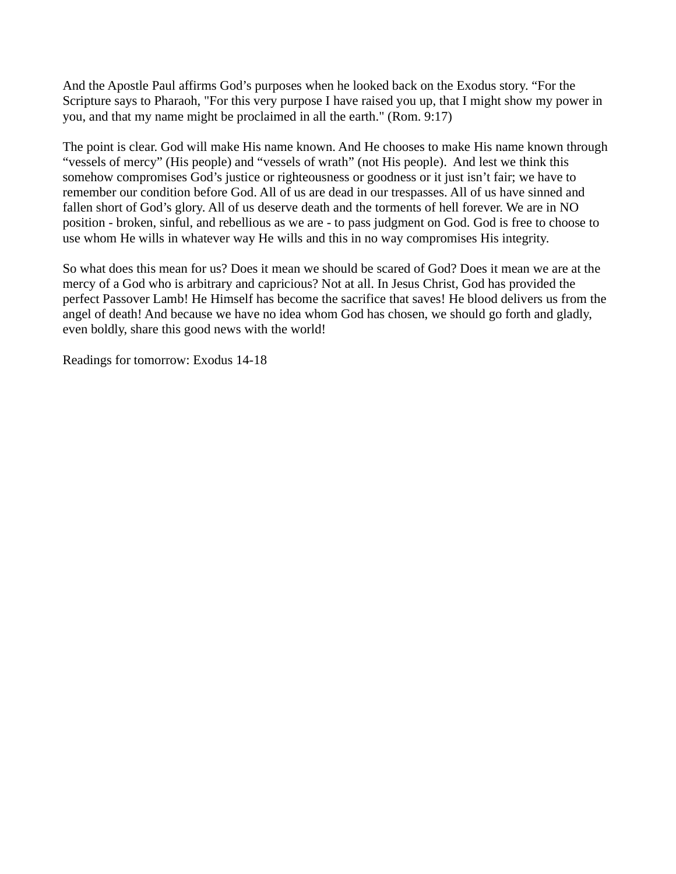And the Apostle Paul affirms God's purposes when he looked back on the Exodus story. "For the Scripture says to Pharaoh, "For this very purpose I have raised you up, that I might show my power in you, and that my name might be proclaimed in all the earth." (Rom. 9:17)

The point is clear. God will make His name known. And He chooses to make His name known through "vessels of mercy" (His people) and "vessels of wrath" (not His people). And lest we think this somehow compromises God's justice or righteousness or goodness or it just isn't fair; we have to remember our condition before God. All of us are dead in our trespasses. All of us have sinned and fallen short of God's glory. All of us deserve death and the torments of hell forever. We are in NO position - broken, sinful, and rebellious as we are - to pass judgment on God. God is free to choose to use whom He wills in whatever way He wills and this in no way compromises His integrity.

So what does this mean for us? Does it mean we should be scared of God? Does it mean we are at the mercy of a God who is arbitrary and capricious? Not at all. In Jesus Christ, God has provided the perfect Passover Lamb! He Himself has become the sacrifice that saves! He blood delivers us from the angel of death! And because we have no idea whom God has chosen, we should go forth and gladly, even boldly, share this good news with the world!

Readings for tomorrow: Exodus 14-18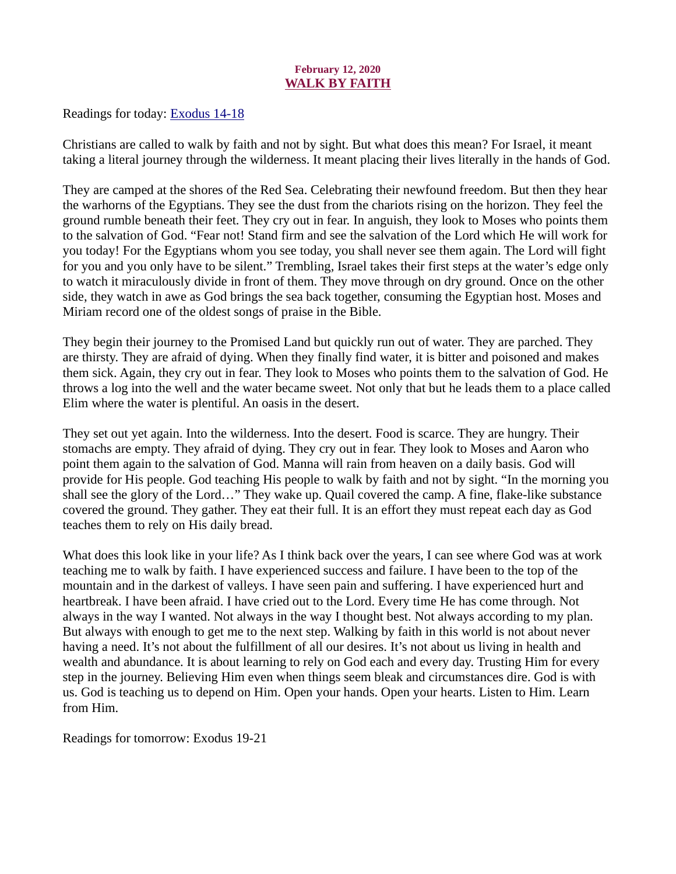# February 12, 2020 WALK BY FAITH

<span id="page-14-0"></span>Readings for today: **Exodus 14-18** 

Christians are called to walk by faith and not by sight. But what does this mean? For Israel, it meant taking a literal journey through the wilderness. It meant placing their lives literally in the hands of God.

They are camped at the shores of the Red Sea. Celebrating their newfound freedom. But then they hear the warhorns of the Egyptians. They see the dust from the chariots rising on the horizon. They feel the ground rumble beneath their feet. They cry out in fear. In anguish, they look to Moses who points them to the salvation of God. "Fear not! Stand firm and see the salvation of the Lord which He will work for you today! For the Egyptians whom you see today, you shall never see them again. The Lord will fight for you and you only have to be silent." Trembling, Israel takes their first steps at the water's edge only to watch it miraculously divide in front of them. They move through on dry ground. Once on the other side, they watch in awe as God brings the sea back together, consuming the Egyptian host. Moses and Miriam record one of the oldest songs of praise in the Bible.

They begin their journey to the Promised Land but quickly run out of water. They are parched. They are thirsty. They are afraid of dying. When they finally find water, it is bitter and poisoned and makes them sick. Again, they cry out in fear. They look to Moses who points them to the salvation of God. He throws a log into the well and the water became sweet. Not only that but he leads them to a place called Elim where the water is plentiful. An oasis in the desert.

They set out yet again. Into the wilderness. Into the desert. Food is scarce. They are hungry. Their stomachs are empty. They afraid of dying. They cry out in fear. They look to Moses and Aaron who point them again to the salvation of God. Manna will rain from heaven on a daily basis. God will provide for His people. God teaching His people to walk by faith and not by sight. "In the morning you shall see the glory of the Lord…" They wake up. Quail covered the camp. A fine, flake-like substance covered the ground. They gather. They eat their full. It is an effort they must repeat each day as God teaches them to rely on His daily bread.

What does this look like in your life? As I think back over the years, I can see where God was at work teaching me to walk by faith. I have experienced success and failure. I have been to the top of the mountain and in the darkest of valleys. I have seen pain and suffering. I have experienced hurt and heartbreak. I have been afraid. I have cried out to the Lord. Every time He has come through. Not always in the way I wanted. Not always in the way I thought best. Not always according to my plan. But always with enough to get me to the next step. Walking by faith in this world is not about never having a need. It's not about the fulfillment of all our desires. It's not about us living in health and wealth and abundance. It is about learning to rely on God each and every day. Trusting Him for every step in the journey. Believing Him even when things seem bleak and circumstances dire. God is with us. God is teaching us to depend on Him. Open your hands. Open your hearts. Listen to Him. Learn from Him.

Readings for tomorrow: Exodus 19-21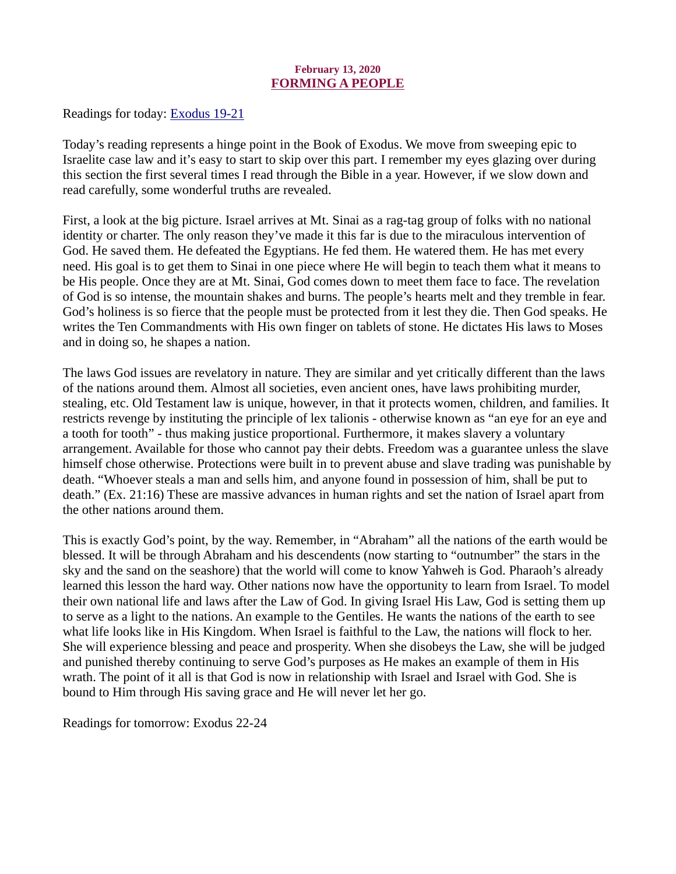# February 13, 2020 FORMING A PEOPLE

<span id="page-15-0"></span>[Readings for today: Exodus 19-21](https://www.biblegateway.com/passage/?search=Exodus+19-21&version=ESV)

Today's reading represents a hinge point in the Book of Exodus. We move from sweeping epic to Israelite case law and it's easy to start to skip over this part. I remember my eyes glazing over during this section the first several times I read through the Bible in a year. However, if we slow down and read carefully, some wonderful truths are revealed.

First, a look at the big picture. Israel arrives at Mt. Sinai as a rag-tag group of folks with no national identity or charter. The only reason they've made it this far is due to the miraculous intervention of God. He saved them. He defeated the Egyptians. He fed them. He watered them. He has met every need. His goal is to get them to Sinai in one piece where He will begin to teach them what it means to be His people. Once they are at Mt. Sinai, God comes down to meet them face to face. The revelation of God is so intense, the mountain shakes and burns. The people's hearts melt and they tremble in fear. God's holiness is so fierce that the people must be protected from it lest they die. Then God speaks. He writes the Ten Commandments with His own finger on tablets of stone. He dictates His laws to Moses and in doing so, he shapes a nation.

The laws God issues are revelatory in nature. They are similar and yet critically different than the laws of the nations around them. Almost all societies, even ancient ones, have laws prohibiting murder, stealing, etc. Old Testament law is unique, however, in that it protects women, children, and families. It restricts revenge by instituting the principle of lex talionis - otherwise known as "an eye for an eye and a tooth for tooth" - thus making justice proportional. Furthermore, it makes slavery a voluntary arrangement. Available for those who cannot pay their debts. Freedom was a guarantee unless the slave himself chose otherwise. Protections were built in to prevent abuse and slave trading was punishable by death. "Whoever steals a man and sells him, and anyone found in possession of him, shall be put to death." (Ex. 21:16) These are massive advances in human rights and set the nation of Israel apart from the other nations around them.

This is exactly God's point, by the way. Remember, in "Abraham" all the nations of the earth would be blessed. It will be through Abraham and his descendents (now starting to "outnumber" the stars in the sky and the sand on the seashore) that the world will come to know Yahweh is God. Pharaoh's already learned this lesson the hard way. Other nations now have the opportunity to learn from Israel. To model their own national life and laws after the Law of God. In giving Israel His Law, God is setting them up to serve as a light to the nations. An example to the Gentiles. He wants the nations of the earth to see what life looks like in His Kingdom. When Israel is faithful to the Law, the nations will flock to her. She will experience blessing and peace and prosperity. When she disobeys the Law, she will be judged and punished thereby continuing to serve God's purposes as He makes an example of them in His wrath. The point of it all is that God is now in relationship with Israel and Israel with God. She is bound to Him through His saving grace and He will never let her go.

Readings for tomorrow: Exodus 22-24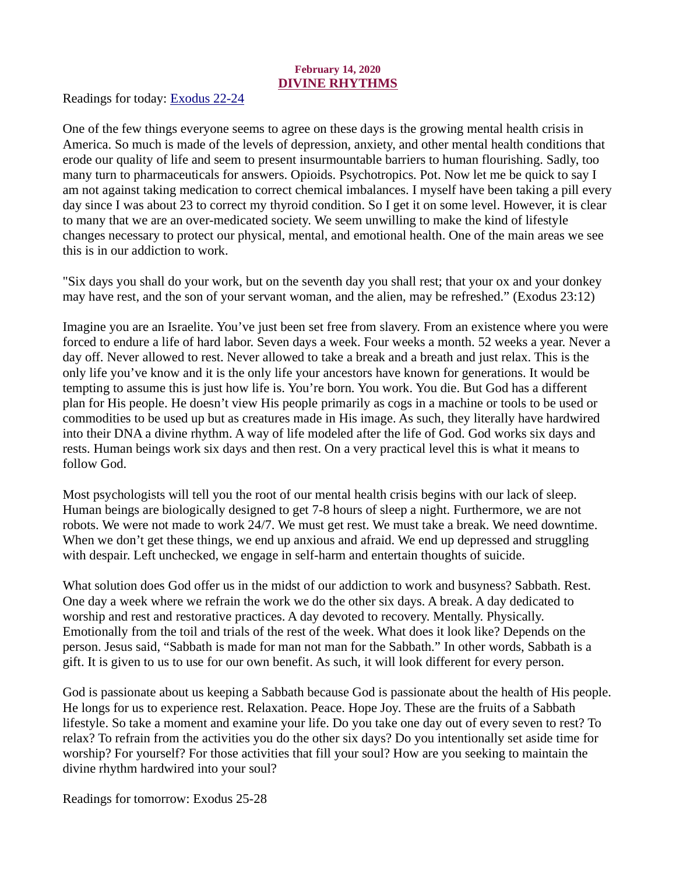# February 14, 2020 DIVINE RHYTHMS

<span id="page-16-0"></span>[Readings for today: Exodus 22-24](https://www.biblegateway.com/passage/?search=Exodus+22-24&version=ESV)

One of the few things everyone seems to agree on these days is the growing mental health crisis in America. So much is made of the levels of depression, anxiety, and other mental health conditions that erode our quality of life and seem to present insurmountable barriers to human flourishing. Sadly, too many turn to pharmaceuticals for answers. Opioids. Psychotropics. Pot. Now let me be quick to say I am not against taking medication to correct chemical imbalances. I myself have been taking a pill every day since I was about 23 to correct my thyroid condition. So I get it on some level. However, it is clear to many that we are an over-medicated society. We seem unwilling to make the kind of lifestyle changes necessary to protect our physical, mental, and emotional health. One of the main areas we see this is in our addiction to work.

"Six days you shall do your work, but on the seventh day you shall rest; that your ox and your donkey may have rest, and the son of your servant woman, and the alien, may be refreshed." (Exodus 23:12)

Imagine you are an Israelite. You've just been set free from slavery. From an existence where you were forced to endure a life of hard labor. Seven days a week. Four weeks a month. 52 weeks a year. Never a day off. Never allowed to rest. Never allowed to take a break and a breath and just relax. This is the only life you've know and it is the only life your ancestors have known for generations. It would be tempting to assume this is just how life is. You're born. You work. You die. But God has a different plan for His people. He doesn't view His people primarily as cogs in a machine or tools to be used or commodities to be used up but as creatures made in His image. As such, they literally have hardwired into their DNA a divine rhythm. A way of life modeled after the life of God. God works six days and rests. Human beings work six days and then rest. On a very practical level this is what it means to follow God.

Most psychologists will tell you the root of our mental health crisis begins with our lack of sleep. Human beings are biologically designed to get 7-8 hours of sleep a night. Furthermore, we are not robots. We were not made to work 24/7. We must get rest. We must take a break. We need downtime. When we don't get these things, we end up anxious and afraid. We end up depressed and struggling with despair. Left unchecked, we engage in self-harm and entertain thoughts of suicide.

What solution does God offer us in the midst of our addiction to work and busyness? Sabbath. Rest. One day a week where we refrain the work we do the other six days. A break. A day dedicated to worship and rest and restorative practices. A day devoted to recovery. Mentally. Physically. Emotionally from the toil and trials of the rest of the week. What does it look like? Depends on the person. Jesus said, "Sabbath is made for man not man for the Sabbath." In other words, Sabbath is a gift. It is given to us to use for our own benefit. As such, it will look different for every person.

God is passionate about us keeping a Sabbath because God is passionate about the health of His people. He longs for us to experience rest. Relaxation. Peace. Hope Joy. These are the fruits of a Sabbath lifestyle. So take a moment and examine your life. Do you take one day out of every seven to rest? To relax? To refrain from the activities you do the other six days? Do you intentionally set aside time for worship? For yourself? For those activities that fill your soul? How are you seeking to maintain the divine rhythm hardwired into your soul?

Readings for tomorrow: Exodus 25-28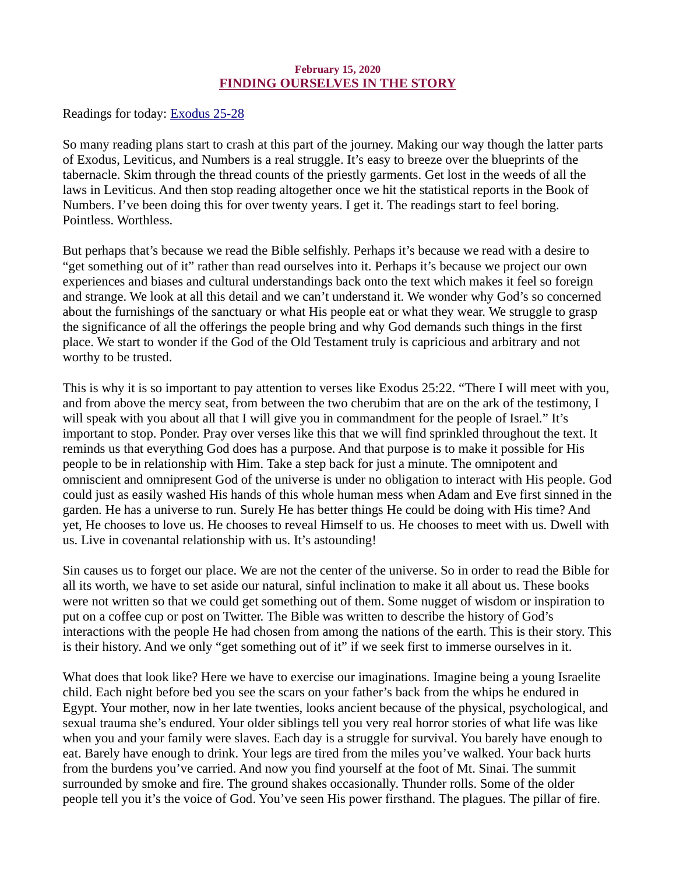# February 15, 2020 FINDING OURSELVES IN THE STORY

<span id="page-17-0"></span>[Readings for today: Exodus 25-28](https://www.biblegateway.com/passage/?search=Exodus+25-28&version=ESV)

So many reading plans start to crash at this part of the journey. Making our way though the latter parts of Exodus, Leviticus, and Numbers is a real struggle. It's easy to breeze over the blueprints of the tabernacle. Skim through the thread counts of the priestly garments. Get lost in the weeds of all the laws in Leviticus. And then stop reading altogether once we hit the statistical reports in the Book of Numbers. I've been doing this for over twenty years. I get it. The readings start to feel boring. Pointless. Worthless.

But perhaps that's because we read the Bible selfishly. Perhaps it's because we read with a desire to "get something out of it" rather than read ourselves into it. Perhaps it's because we project our own experiences and biases and cultural understandings back onto the text which makes it feel so foreign and strange. We look at all this detail and we can't understand it. We wonder why God's so concerned about the furnishings of the sanctuary or what His people eat or what they wear. We struggle to grasp the significance of all the offerings the people bring and why God demands such things in the first place. We start to wonder if the God of the Old Testament truly is capricious and arbitrary and not worthy to be trusted.

This is why it is so important to pay attention to verses like Exodus 25:22. "There I will meet with you, and from above the mercy seat, from between the two cherubim that are on the ark of the testimony, I will speak with you about all that I will give you in commandment for the people of Israel." It's important to stop. Ponder. Pray over verses like this that we will find sprinkled throughout the text. It reminds us that everything God does has a purpose. And that purpose is to make it possible for His people to be in relationship with Him. Take a step back for just a minute. The omnipotent and omniscient and omnipresent God of the universe is under no obligation to interact with His people. God could just as easily washed His hands of this whole human mess when Adam and Eve first sinned in the garden. He has a universe to run. Surely He has better things He could be doing with His time? And yet, He chooses to love us. He chooses to reveal Himself to us. He chooses to meet with us. Dwell with us. Live in covenantal relationship with us. It's astounding!

Sin causes us to forget our place. We are not the center of the universe. So in order to read the Bible for all its worth, we have to set aside our natural, sinful inclination to make it all about us. These books were not written so that we could get something out of them. Some nugget of wisdom or inspiration to put on a coffee cup or post on Twitter. The Bible was written to describe the history of God's interactions with the people He had chosen from among the nations of the earth. This is their story. This is their history. And we only "get something out of it" if we seek first to immerse ourselves in it.

What does that look like? Here we have to exercise our imaginations. Imagine being a young Israelite child. Each night before bed you see the scars on your father's back from the whips he endured in Egypt. Your mother, now in her late twenties, looks ancient because of the physical, psychological, and sexual trauma she's endured. Your older siblings tell you very real horror stories of what life was like when you and your family were slaves. Each day is a struggle for survival. You barely have enough to eat. Barely have enough to drink. Your legs are tired from the miles you've walked. Your back hurts from the burdens you've carried. And now you find yourself at the foot of Mt. Sinai. The summit surrounded by smoke and fire. The ground shakes occasionally. Thunder rolls. Some of the older people tell you it's the voice of God. You've seen His power firsthand. The plagues. The pillar of fire.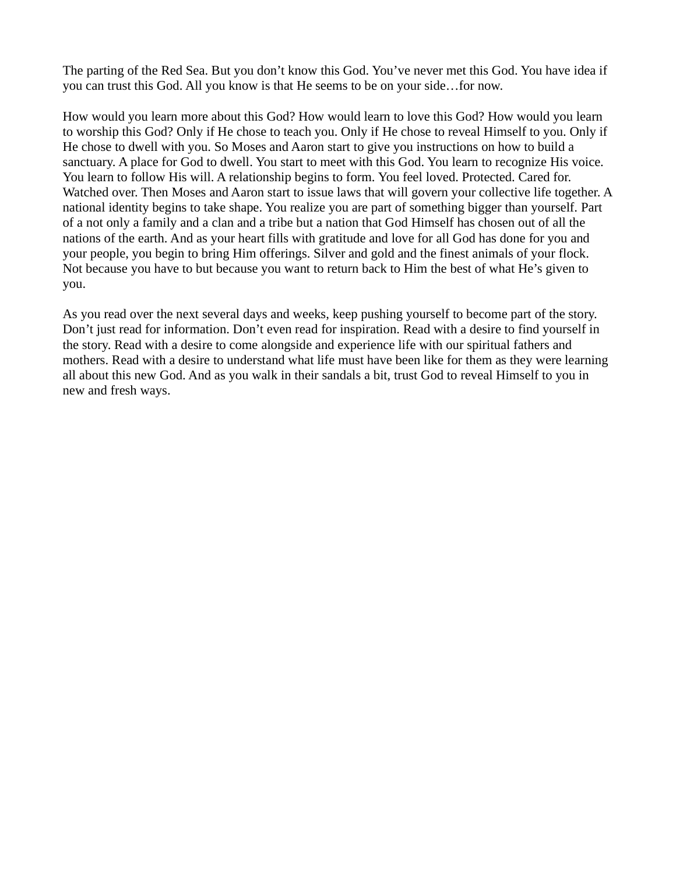The parting of the Red Sea. But you don't know this God. You've never met this God. You have idea if you can trust this God. All you know is that He seems to be on your side…for now.

How would you learn more about this God? How would learn to love this God? How would you learn to worship this God? Only if He chose to teach you. Only if He chose to reveal Himself to you. Only if He chose to dwell with you. So Moses and Aaron start to give you instructions on how to build a sanctuary. A place for God to dwell. You start to meet with this God. You learn to recognize His voice. You learn to follow His will. A relationship begins to form. You feel loved. Protected. Cared for. Watched over. Then Moses and Aaron start to issue laws that will govern your collective life together. A national identity begins to take shape. You realize you are part of something bigger than yourself. Part of a not only a family and a clan and a tribe but a nation that God Himself has chosen out of all the nations of the earth. And as your heart fills with gratitude and love for all God has done for you and your people, you begin to bring Him offerings. Silver and gold and the finest animals of your flock. Not because you have to but because you want to return back to Him the best of what He's given to you.

As you read over the next several days and weeks, keep pushing yourself to become part of the story. Don't just read for information. Don't even read for inspiration. Read with a desire to find yourself in the story. Read with a desire to come alongside and experience life with our spiritual fathers and mothers. Read with a desire to understand what life must have been like for them as they were learning all about this new God. And as you walk in their sandals a bit, trust God to reveal Himself to you in new and fresh ways.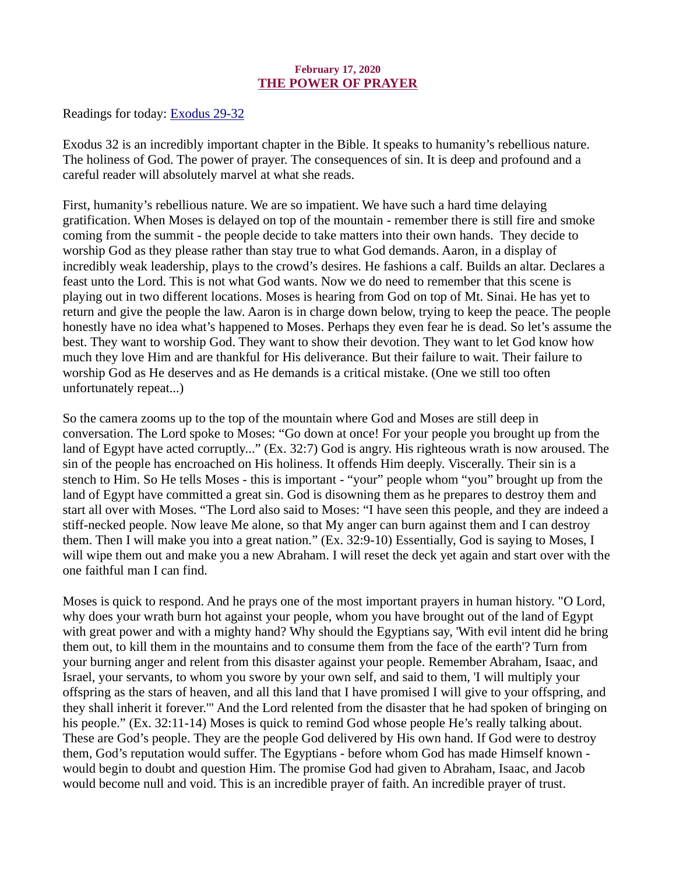### February 17, 2020 THE POWER OF PRAYER

<span id="page-19-0"></span>[Readings for today: Exodus 29-32](https://www.biblegateway.com/passage/?search=Exodus+29-32&version=ESV)

Exodus 32 is an incredibly important chapter in the Bible. It speaks to humanity's rebellious nature. The holiness of God. The power of prayer. The consequences of sin. It is deep and profound and a careful reader will absolutely marvel at what she reads.

First, humanity's rebellious nature. We are so impatient. We have such a hard time delaying gratification. When Moses is delayed on top of the mountain - remember there is still fire and smoke coming from the summit - the people decide to take matters into their own hands. They decide to worship God as they please rather than stay true to what God demands. Aaron, in a display of incredibly weak leadership, plays to the crowd's desires. He fashions a calf. Builds an altar. Declares a feast unto the Lord. This is not what God wants. Now we do need to remember that this scene is playing out in two different locations. Moses is hearing from God on top of Mt. Sinai. He has yet to return and give the people the law. Aaron is in charge down below, trying to keep the peace. The people honestly have no idea what's happened to Moses. Perhaps they even fear he is dead. So let's assume the best. They want to worship God. They want to show their devotion. They want to let God know how much they love Him and are thankful for His deliverance. But their failure to wait. Their failure to worship God as He deserves and as He demands is a critical mistake. (One we still too often unfortunately repeat...)

So the camera zooms up to the top of the mountain where God and Moses are still deep in conversation. The Lord spoke to Moses: "Go down at once! For your people you brought up from the land of Egypt have acted corruptly..." (Ex. 32:7) God is angry. His righteous wrath is now aroused. The sin of the people has encroached on His holiness. It offends Him deeply. Viscerally. Their sin is a stench to Him. So He tells Moses - this is important - "your" people whom "you" brought up from the land of Egypt have committed a great sin. God is disowning them as he prepares to destroy them and start all over with Moses. "The Lord also said to Moses: "I have seen this people, and they are indeed a stiff-necked people. Now leave Me alone, so that My anger can burn against them and I can destroy them. Then I will make you into a great nation." (Ex. 32:9-10) Essentially, God is saying to Moses, I will wipe them out and make you a new Abraham. I will reset the deck yet again and start over with the one faithful man I can find.

Moses is quick to respond. And he prays one of the most important prayers in human history. "O Lord, why does your wrath burn hot against your people, whom you have brought out of the land of Egypt with great power and with a mighty hand? Why should the Egyptians say, 'With evil intent did he bring them out, to kill them in the mountains and to consume them from the face of the earth'? Turn from your burning anger and relent from this disaster against your people. Remember Abraham, Isaac, and Israel, your servants, to whom you swore by your own self, and said to them, 'I will multiply your offspring as the stars of heaven, and all this land that I have promised I will give to your offspring, and they shall inherit it forever.'" And the Lord relented from the disaster that he had spoken of bringing on his people." (Ex. 32:11-14) Moses is quick to remind God whose people He's really talking about. These are God's people. They are the people God delivered by His own hand. If God were to destroy them, God's reputation would suffer. The Egyptians - before whom God has made Himself known would begin to doubt and question Him. The promise God had given to Abraham, Isaac, and Jacob would become null and void. This is an incredible prayer of faith. An incredible prayer of trust.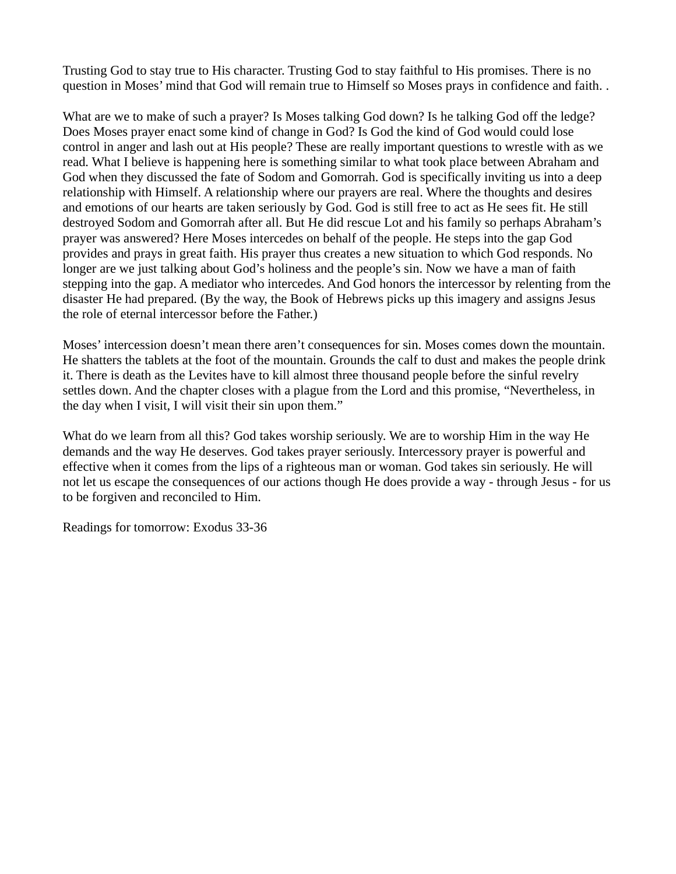Trusting God to stay true to His character. Trusting God to stay faithful to His promises. There is no question in Moses' mind that God will remain true to Himself so Moses prays in confidence and faith. .

What are we to make of such a prayer? Is Moses talking God down? Is he talking God off the ledge? Does Moses prayer enact some kind of change in God? Is God the kind of God would could lose control in anger and lash out at His people? These are really important questions to wrestle with as we read. What I believe is happening here is something similar to what took place between Abraham and God when they discussed the fate of Sodom and Gomorrah. God is specifically inviting us into a deep relationship with Himself. A relationship where our prayers are real. Where the thoughts and desires and emotions of our hearts are taken seriously by God. God is still free to act as He sees fit. He still destroyed Sodom and Gomorrah after all. But He did rescue Lot and his family so perhaps Abraham's prayer was answered? Here Moses intercedes on behalf of the people. He steps into the gap God provides and prays in great faith. His prayer thus creates a new situation to which God responds. No longer are we just talking about God's holiness and the people's sin. Now we have a man of faith stepping into the gap. A mediator who intercedes. And God honors the intercessor by relenting from the disaster He had prepared. (By the way, the Book of Hebrews picks up this imagery and assigns Jesus the role of eternal intercessor before the Father.)

Moses' intercession doesn't mean there aren't consequences for sin. Moses comes down the mountain. He shatters the tablets at the foot of the mountain. Grounds the calf to dust and makes the people drink it. There is death as the Levites have to kill almost three thousand people before the sinful revelry settles down. And the chapter closes with a plague from the Lord and this promise, "Nevertheless, in the day when I visit, I will visit their sin upon them."

What do we learn from all this? God takes worship seriously. We are to worship Him in the way He demands and the way He deserves. God takes prayer seriously. Intercessory prayer is powerful and effective when it comes from the lips of a righteous man or woman. God takes sin seriously. He will not let us escape the consequences of our actions though He does provide a way - through Jesus - for us to be forgiven and reconciled to Him.

Readings for tomorrow: Exodus 33-36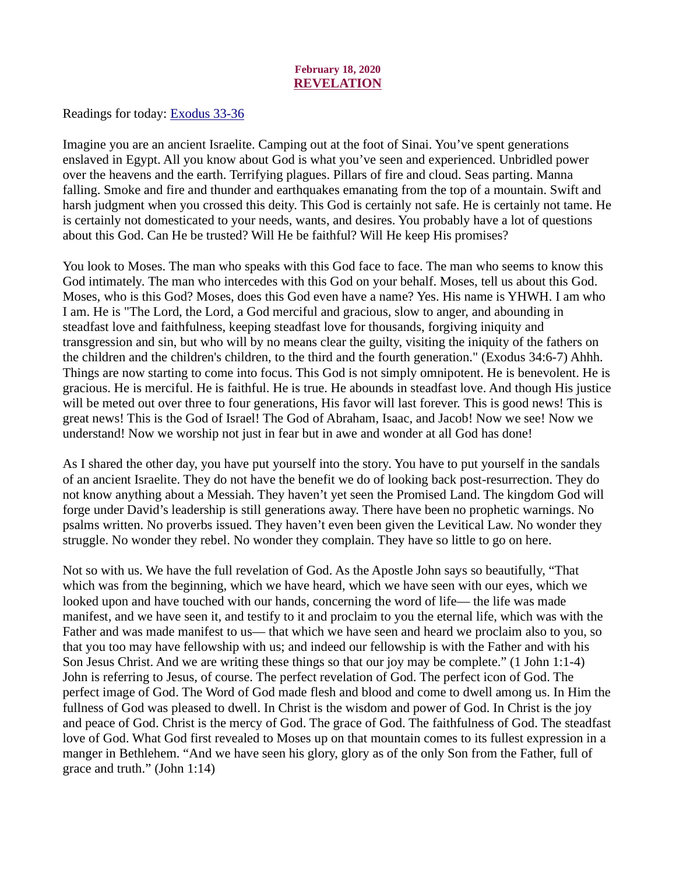#### February 18, 2020 REVELATION

<span id="page-21-0"></span>[Readings for today: Exodus 33-36](https://www.biblegateway.com/passage/?search=Exodus+33-36&version=ESV)

Imagine you are an ancient Israelite. Camping out at the foot of Sinai. You've spent generations enslaved in Egypt. All you know about God is what you've seen and experienced. Unbridled power over the heavens and the earth. Terrifying plagues. Pillars of fire and cloud. Seas parting. Manna falling. Smoke and fire and thunder and earthquakes emanating from the top of a mountain. Swift and harsh judgment when you crossed this deity. This God is certainly not safe. He is certainly not tame. He is certainly not domesticated to your needs, wants, and desires. You probably have a lot of questions about this God. Can He be trusted? Will He be faithful? Will He keep His promises?

You look to Moses. The man who speaks with this God face to face. The man who seems to know this God intimately. The man who intercedes with this God on your behalf. Moses, tell us about this God. Moses, who is this God? Moses, does this God even have a name? Yes. His name is YHWH. I am who I am. He is "The Lord, the Lord, a God merciful and gracious, slow to anger, and abounding in steadfast love and faithfulness, keeping steadfast love for thousands, forgiving iniquity and transgression and sin, but who will by no means clear the guilty, visiting the iniquity of the fathers on the children and the children's children, to the third and the fourth generation." (Exodus 34:6-7) Ahhh. Things are now starting to come into focus. This God is not simply omnipotent. He is benevolent. He is gracious. He is merciful. He is faithful. He is true. He abounds in steadfast love. And though His justice will be meted out over three to four generations, His favor will last forever. This is good news! This is great news! This is the God of Israel! The God of Abraham, Isaac, and Jacob! Now we see! Now we understand! Now we worship not just in fear but in awe and wonder at all God has done!

As I shared the other day, you have put yourself into the story. You have to put yourself in the sandals of an ancient Israelite. They do not have the benefit we do of looking back post-resurrection. They do not know anything about a Messiah. They haven't yet seen the Promised Land. The kingdom God will forge under David's leadership is still generations away. There have been no prophetic warnings. No psalms written. No proverbs issued. They haven't even been given the Levitical Law. No wonder they struggle. No wonder they rebel. No wonder they complain. They have so little to go on here.

Not so with us. We have the full revelation of God. As the Apostle John says so beautifully, "That which was from the beginning, which we have heard, which we have seen with our eyes, which we looked upon and have touched with our hands, concerning the word of life— the life was made manifest, and we have seen it, and testify to it and proclaim to you the eternal life, which was with the Father and was made manifest to us— that which we have seen and heard we proclaim also to you, so that you too may have fellowship with us; and indeed our fellowship is with the Father and with his Son Jesus Christ. And we are writing these things so that our joy may be complete." (1 John 1:1-4) John is referring to Jesus, of course. The perfect revelation of God. The perfect icon of God. The perfect image of God. The Word of God made flesh and blood and come to dwell among us. In Him the fullness of God was pleased to dwell. In Christ is the wisdom and power of God. In Christ is the joy and peace of God. Christ is the mercy of God. The grace of God. The faithfulness of God. The steadfast love of God. What God first revealed to Moses up on that mountain comes to its fullest expression in a manger in Bethlehem. "And we have seen his glory, glory as of the only Son from the Father, full of grace and truth." (John 1:14)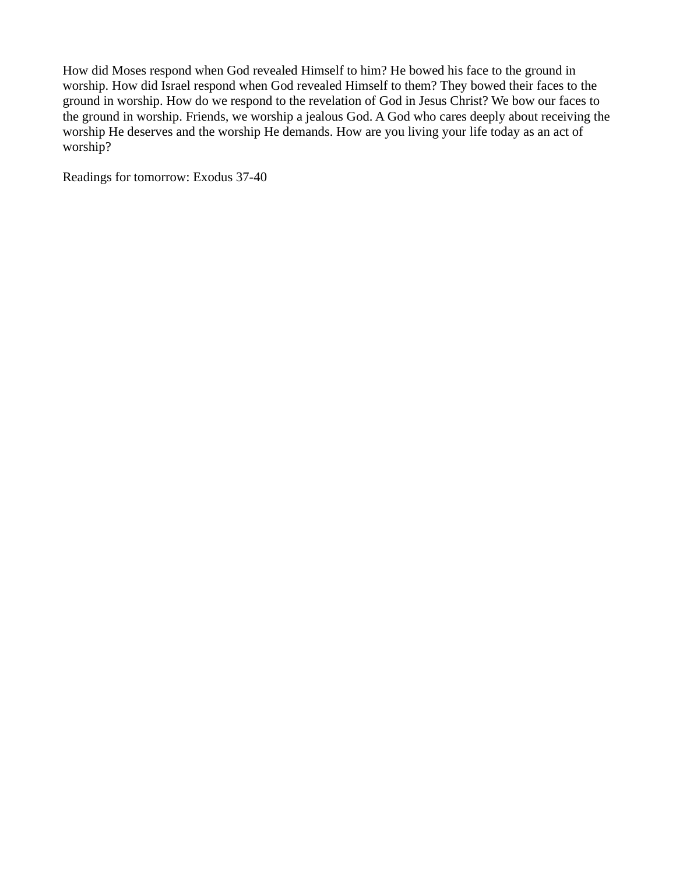How did Moses respond when God revealed Himself to him? He bowed his face to the ground in worship. How did Israel respond when God revealed Himself to them? They bowed their faces to the ground in worship. How do we respond to the revelation of God in Jesus Christ? We bow our faces to the ground in worship. Friends, we worship a jealous God. A God who cares deeply about receiving the worship He deserves and the worship He demands. How are you living your life today as an act of worship?

Readings for tomorrow: Exodus 37-40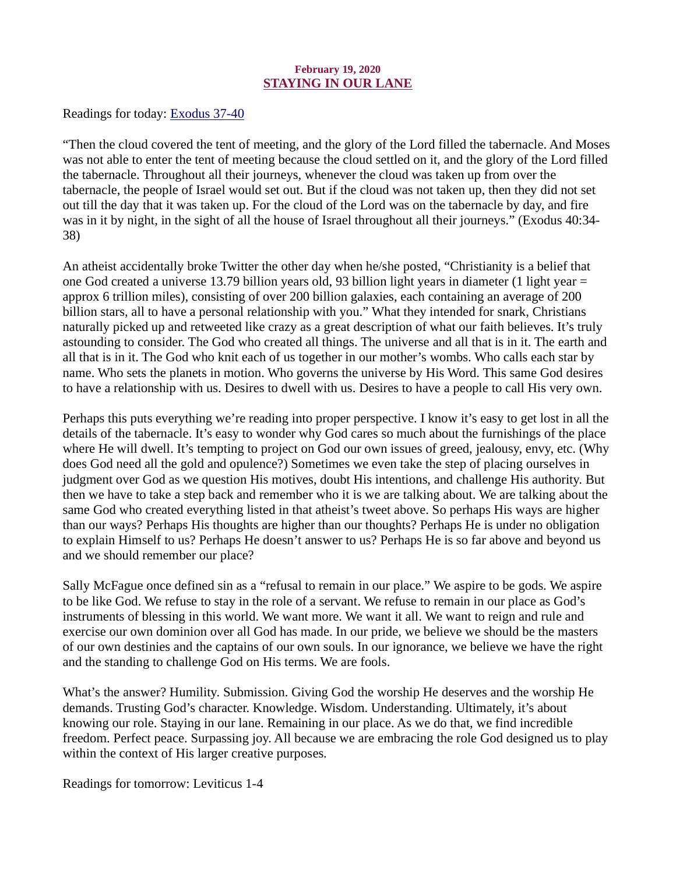# February 19, 2020 STAYING IN OUR LANE

<span id="page-23-0"></span>[Readings for today: Exodus 37-40](https://www.biblegateway.com/passage/?search=Exodus+37-40&version=ESV)

"Then the cloud covered the tent of meeting, and the glory of the Lord filled the tabernacle. And Moses was not able to enter the tent of meeting because the cloud settled on it, and the glory of the Lord filled the tabernacle. Throughout all their journeys, whenever the cloud was taken up from over the tabernacle, the people of Israel would set out. But if the cloud was not taken up, then they did not set out till the day that it was taken up. For the cloud of the Lord was on the tabernacle by day, and fire was in it by night, in the sight of all the house of Israel throughout all their journeys." (Exodus 40:34- 38)

An atheist accidentally broke Twitter the other day when he/she posted, "Christianity is a belief that one God created a universe 13.79 billion years old, 93 billion light years in diameter (1 light year = approx 6 trillion miles), consisting of over 200 billion galaxies, each containing an average of 200 billion stars, all to have a personal relationship with you." What they intended for snark, Christians naturally picked up and retweeted like crazy as a great description of what our faith believes. It's truly astounding to consider. The God who created all things. The universe and all that is in it. The earth and all that is in it. The God who knit each of us together in our mother's wombs. Who calls each star by name. Who sets the planets in motion. Who governs the universe by His Word. This same God desires to have a relationship with us. Desires to dwell with us. Desires to have a people to call His very own.

Perhaps this puts everything we're reading into proper perspective. I know it's easy to get lost in all the details of the tabernacle. It's easy to wonder why God cares so much about the furnishings of the place where He will dwell. It's tempting to project on God our own issues of greed, jealousy, envy, etc. (Why does God need all the gold and opulence?) Sometimes we even take the step of placing ourselves in judgment over God as we question His motives, doubt His intentions, and challenge His authority. But then we have to take a step back and remember who it is we are talking about. We are talking about the same God who created everything listed in that atheist's tweet above. So perhaps His ways are higher than our ways? Perhaps His thoughts are higher than our thoughts? Perhaps He is under no obligation to explain Himself to us? Perhaps He doesn't answer to us? Perhaps He is so far above and beyond us and we should remember our place?

Sally McFague once defined sin as a "refusal to remain in our place." We aspire to be gods. We aspire to be like God. We refuse to stay in the role of a servant. We refuse to remain in our place as God's instruments of blessing in this world. We want more. We want it all. We want to reign and rule and exercise our own dominion over all God has made. In our pride, we believe we should be the masters of our own destinies and the captains of our own souls. In our ignorance, we believe we have the right and the standing to challenge God on His terms. We are fools.

What's the answer? Humility. Submission. Giving God the worship He deserves and the worship He demands. Trusting God's character. Knowledge. Wisdom. Understanding. Ultimately, it's about knowing our role. Staying in our lane. Remaining in our place. As we do that, we find incredible freedom. Perfect peace. Surpassing joy. All because we are embracing the role God designed us to play within the context of His larger creative purposes.

Readings for tomorrow: Leviticus 1-4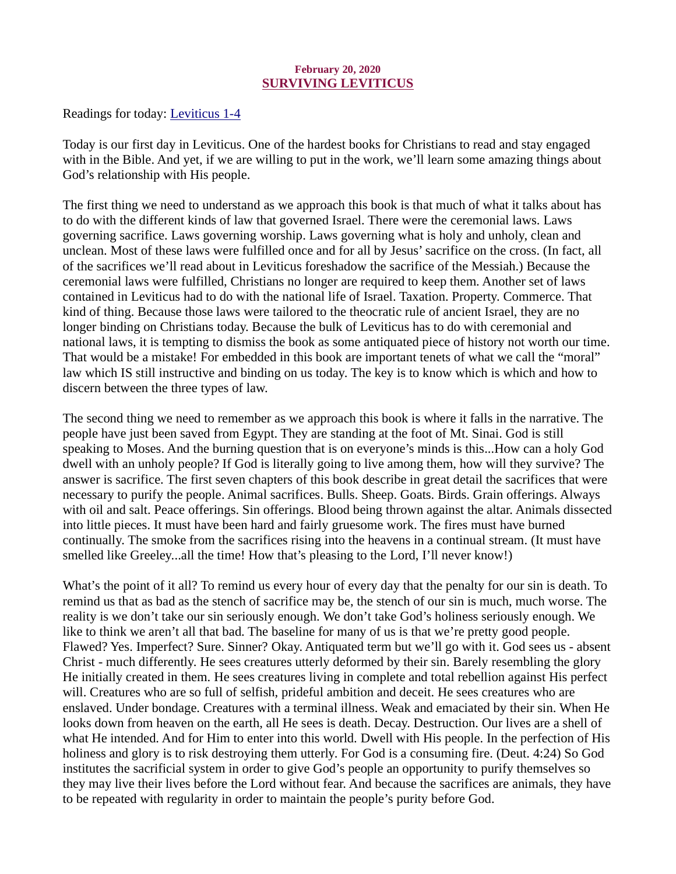# February 20, 2020 SURVIVING LEVITICUS

<span id="page-24-0"></span>[Readings for today: Leviticus 1-4](https://www.biblegateway.com/passage/?search=Leviticus+1-4&version=ESV)

Today is our first day in Leviticus. One of the hardest books for Christians to read and stay engaged with in the Bible. And yet, if we are willing to put in the work, we'll learn some amazing things about God's relationship with His people.

The first thing we need to understand as we approach this book is that much of what it talks about has to do with the different kinds of law that governed Israel. There were the ceremonial laws. Laws governing sacrifice. Laws governing worship. Laws governing what is holy and unholy, clean and unclean. Most of these laws were fulfilled once and for all by Jesus' sacrifice on the cross. (In fact, all of the sacrifices we'll read about in Leviticus foreshadow the sacrifice of the Messiah.) Because the ceremonial laws were fulfilled, Christians no longer are required to keep them. Another set of laws contained in Leviticus had to do with the national life of Israel. Taxation. Property. Commerce. That kind of thing. Because those laws were tailored to the theocratic rule of ancient Israel, they are no longer binding on Christians today. Because the bulk of Leviticus has to do with ceremonial and national laws, it is tempting to dismiss the book as some antiquated piece of history not worth our time. That would be a mistake! For embedded in this book are important tenets of what we call the "moral" law which IS still instructive and binding on us today. The key is to know which is which and how to discern between the three types of law.

The second thing we need to remember as we approach this book is where it falls in the narrative. The people have just been saved from Egypt. They are standing at the foot of Mt. Sinai. God is still speaking to Moses. And the burning question that is on everyone's minds is this...How can a holy God dwell with an unholy people? If God is literally going to live among them, how will they survive? The answer is sacrifice. The first seven chapters of this book describe in great detail the sacrifices that were necessary to purify the people. Animal sacrifices. Bulls. Sheep. Goats. Birds. Grain offerings. Always with oil and salt. Peace offerings. Sin offerings. Blood being thrown against the altar. Animals dissected into little pieces. It must have been hard and fairly gruesome work. The fires must have burned continually. The smoke from the sacrifices rising into the heavens in a continual stream. (It must have smelled like Greeley...all the time! How that's pleasing to the Lord, I'll never know!)

What's the point of it all? To remind us every hour of every day that the penalty for our sin is death. To remind us that as bad as the stench of sacrifice may be, the stench of our sin is much, much worse. The reality is we don't take our sin seriously enough. We don't take God's holiness seriously enough. We like to think we aren't all that bad. The baseline for many of us is that we're pretty good people. Flawed? Yes. Imperfect? Sure. Sinner? Okay. Antiquated term but we'll go with it. God sees us - absent Christ - much differently. He sees creatures utterly deformed by their sin. Barely resembling the glory He initially created in them. He sees creatures living in complete and total rebellion against His perfect will. Creatures who are so full of selfish, prideful ambition and deceit. He sees creatures who are enslaved. Under bondage. Creatures with a terminal illness. Weak and emaciated by their sin. When He looks down from heaven on the earth, all He sees is death. Decay. Destruction. Our lives are a shell of what He intended. And for Him to enter into this world. Dwell with His people. In the perfection of His holiness and glory is to risk destroying them utterly. For God is a consuming fire. (Deut. 4:24) So God institutes the sacrificial system in order to give God's people an opportunity to purify themselves so they may live their lives before the Lord without fear. And because the sacrifices are animals, they have to be repeated with regularity in order to maintain the people's purity before God.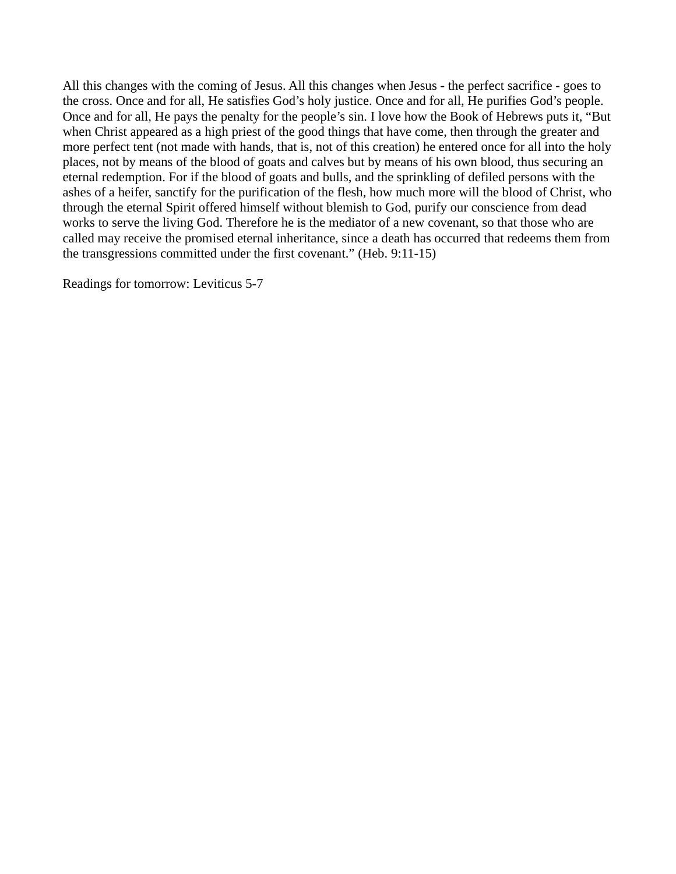All this changes with the coming of Jesus. All this changes when Jesus - the perfect sacrifice - goes to the cross. Once and for all, He satisfies God's holy justice. Once and for all, He purifies God's people. Once and for all, He pays the penalty for the people's sin. I love how the Book of Hebrews puts it, "But when Christ appeared as a high priest of the good things that have come, then through the greater and more perfect tent (not made with hands, that is, not of this creation) he entered once for all into the holy places, not by means of the blood of goats and calves but by means of his own blood, thus securing an eternal redemption. For if the blood of goats and bulls, and the sprinkling of defiled persons with the ashes of a heifer, sanctify for the purification of the flesh, how much more will the blood of Christ, who through the eternal Spirit offered himself without blemish to God, purify our conscience from dead works to serve the living God. Therefore he is the mediator of a new covenant, so that those who are called may receive the promised eternal inheritance, since a death has occurred that redeems them from the transgressions committed under the first covenant." (Heb. 9:11-15)

Readings for tomorrow: Leviticus 5-7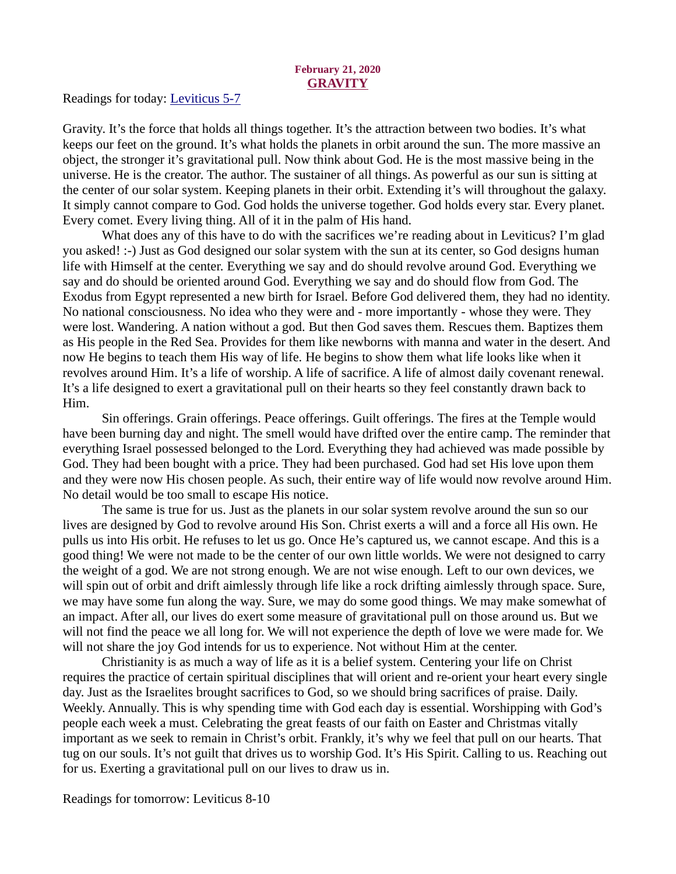# February 21, 2020 **GRAVITY**

<span id="page-26-0"></span>[Readings for today: Leviticus 5-7](https://www.biblegateway.com/passage/?search=Leviticus+5-7&version=ESV)

Gravity. It's the force that holds all things together. It's the attraction between two bodies. It's what keeps our feet on the ground. It's what holds the planets in orbit around the sun. The more massive an object, the stronger it's gravitational pull. Now think about God. He is the most massive being in the universe. He is the creator. The author. The sustainer of all things. As powerful as our sun is sitting at the center of our solar system. Keeping planets in their orbit. Extending it's will throughout the galaxy. It simply cannot compare to God. God holds the universe together. God holds every star. Every planet. Every comet. Every living thing. All of it in the palm of His hand.

What does any of this have to do with the sacrifices we're reading about in Leviticus? I'm glad you asked! :-) Just as God designed our solar system with the sun at its center, so God designs human life with Himself at the center. Everything we say and do should revolve around God. Everything we say and do should be oriented around God. Everything we say and do should flow from God. The Exodus from Egypt represented a new birth for Israel. Before God delivered them, they had no identity. No national consciousness. No idea who they were and - more importantly - whose they were. They were lost. Wandering. A nation without a god. But then God saves them. Rescues them. Baptizes them as His people in the Red Sea. Provides for them like newborns with manna and water in the desert. And now He begins to teach them His way of life. He begins to show them what life looks like when it revolves around Him. It's a life of worship. A life of sacrifice. A life of almost daily covenant renewal. It's a life designed to exert a gravitational pull on their hearts so they feel constantly drawn back to Him.

Sin offerings. Grain offerings. Peace offerings. Guilt offerings. The fires at the Temple would have been burning day and night. The smell would have drifted over the entire camp. The reminder that everything Israel possessed belonged to the Lord. Everything they had achieved was made possible by God. They had been bought with a price. They had been purchased. God had set His love upon them and they were now His chosen people. As such, their entire way of life would now revolve around Him. No detail would be too small to escape His notice.

The same is true for us. Just as the planets in our solar system revolve around the sun so our lives are designed by God to revolve around His Son. Christ exerts a will and a force all His own. He pulls us into His orbit. He refuses to let us go. Once He's captured us, we cannot escape. And this is a good thing! We were not made to be the center of our own little worlds. We were not designed to carry the weight of a god. We are not strong enough. We are not wise enough. Left to our own devices, we will spin out of orbit and drift aimlessly through life like a rock drifting aimlessly through space. Sure, we may have some fun along the way. Sure, we may do some good things. We may make somewhat of an impact. After all, our lives do exert some measure of gravitational pull on those around us. But we will not find the peace we all long for. We will not experience the depth of love we were made for. We will not share the joy God intends for us to experience. Not without Him at the center.

Christianity is as much a way of life as it is a belief system. Centering your life on Christ requires the practice of certain spiritual disciplines that will orient and re-orient your heart every single day. Just as the Israelites brought sacrifices to God, so we should bring sacrifices of praise. Daily. Weekly. Annually. This is why spending time with God each day is essential. Worshipping with God's people each week a must. Celebrating the great feasts of our faith on Easter and Christmas vitally important as we seek to remain in Christ's orbit. Frankly, it's why we feel that pull on our hearts. That tug on our souls. It's not guilt that drives us to worship God. It's His Spirit. Calling to us. Reaching out for us. Exerting a gravitational pull on our lives to draw us in.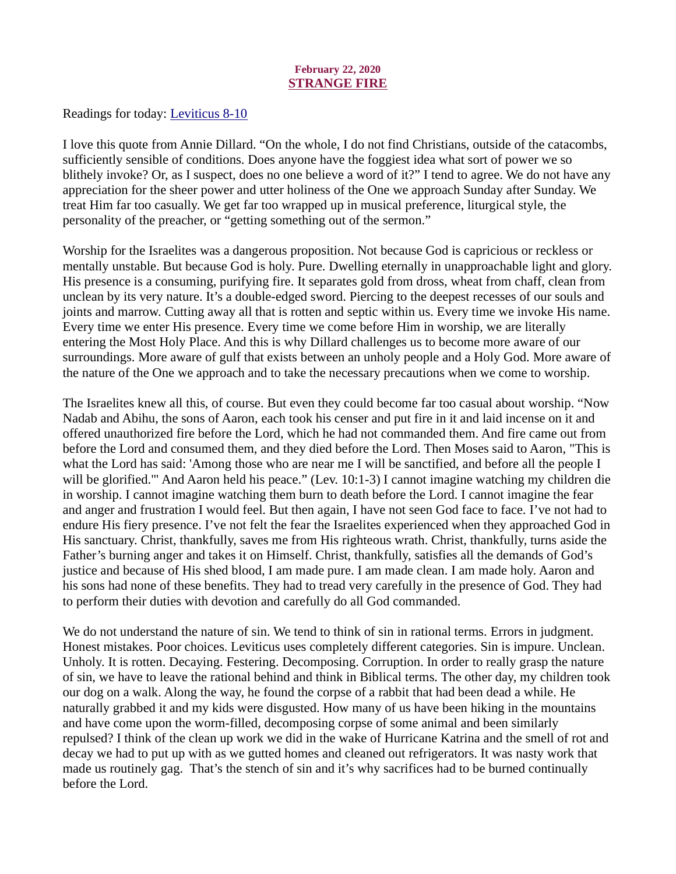# February 22, 2020 STRANGE FIRE

<span id="page-27-0"></span>[Readings for today: Leviticus 8-10](https://www.biblegateway.com/passage/?search=Leviticus+8-10&version=ESV)

I love this quote from Annie Dillard. "On the whole, I do not find Christians, outside of the catacombs, sufficiently sensible of conditions. Does anyone have the foggiest idea what sort of power we so blithely invoke? Or, as I suspect, does no one believe a word of it?" I tend to agree. We do not have any appreciation for the sheer power and utter holiness of the One we approach Sunday after Sunday. We treat Him far too casually. We get far too wrapped up in musical preference, liturgical style, the personality of the preacher, or "getting something out of the sermon."

Worship for the Israelites was a dangerous proposition. Not because God is capricious or reckless or mentally unstable. But because God is holy. Pure. Dwelling eternally in unapproachable light and glory. His presence is a consuming, purifying fire. It separates gold from dross, wheat from chaff, clean from unclean by its very nature. It's a double-edged sword. Piercing to the deepest recesses of our souls and joints and marrow. Cutting away all that is rotten and septic within us. Every time we invoke His name. Every time we enter His presence. Every time we come before Him in worship, we are literally entering the Most Holy Place. And this is why Dillard challenges us to become more aware of our surroundings. More aware of gulf that exists between an unholy people and a Holy God. More aware of the nature of the One we approach and to take the necessary precautions when we come to worship.

The Israelites knew all this, of course. But even they could become far too casual about worship. "Now Nadab and Abihu, the sons of Aaron, each took his censer and put fire in it and laid incense on it and offered unauthorized fire before the Lord, which he had not commanded them. And fire came out from before the Lord and consumed them, and they died before the Lord. Then Moses said to Aaron, "This is what the Lord has said: 'Among those who are near me I will be sanctified, and before all the people I will be glorified." And Aaron held his peace." (Lev. 10:1-3) I cannot imagine watching my children die in worship. I cannot imagine watching them burn to death before the Lord. I cannot imagine the fear and anger and frustration I would feel. But then again, I have not seen God face to face. I've not had to endure His fiery presence. I've not felt the fear the Israelites experienced when they approached God in His sanctuary. Christ, thankfully, saves me from His righteous wrath. Christ, thankfully, turns aside the Father's burning anger and takes it on Himself. Christ, thankfully, satisfies all the demands of God's justice and because of His shed blood, I am made pure. I am made clean. I am made holy. Aaron and his sons had none of these benefits. They had to tread very carefully in the presence of God. They had to perform their duties with devotion and carefully do all God commanded.

We do not understand the nature of sin. We tend to think of sin in rational terms. Errors in judgment. Honest mistakes. Poor choices. Leviticus uses completely different categories. Sin is impure. Unclean. Unholy. It is rotten. Decaying. Festering. Decomposing. Corruption. In order to really grasp the nature of sin, we have to leave the rational behind and think in Biblical terms. The other day, my children took our dog on a walk. Along the way, he found the corpse of a rabbit that had been dead a while. He naturally grabbed it and my kids were disgusted. How many of us have been hiking in the mountains and have come upon the worm-filled, decomposing corpse of some animal and been similarly repulsed? I think of the clean up work we did in the wake of Hurricane Katrina and the smell of rot and decay we had to put up with as we gutted homes and cleaned out refrigerators. It was nasty work that made us routinely gag. That's the stench of sin and it's why sacrifices had to be burned continually before the Lord.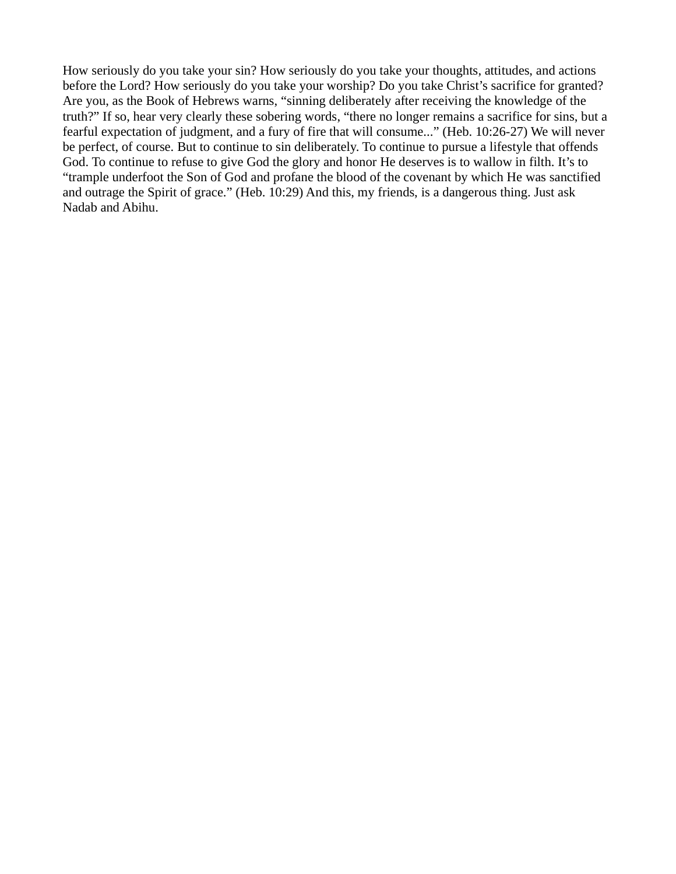How seriously do you take your sin? How seriously do you take your thoughts, attitudes, and actions before the Lord? How seriously do you take your worship? Do you take Christ's sacrifice for granted? Are you, as the Book of Hebrews warns, "sinning deliberately after receiving the knowledge of the truth?" If so, hear very clearly these sobering words, "there no longer remains a sacrifice for sins, but a fearful expectation of judgment, and a fury of fire that will consume..." (Heb. 10:26-27) We will never be perfect, of course. But to continue to sin deliberately. To continue to pursue a lifestyle that offends God. To continue to refuse to give God the glory and honor He deserves is to wallow in filth. It's to "trample underfoot the Son of God and profane the blood of the covenant by which He was sanctified and outrage the Spirit of grace." (Heb. 10:29) And this, my friends, is a dangerous thing. Just ask Nadab and Abihu.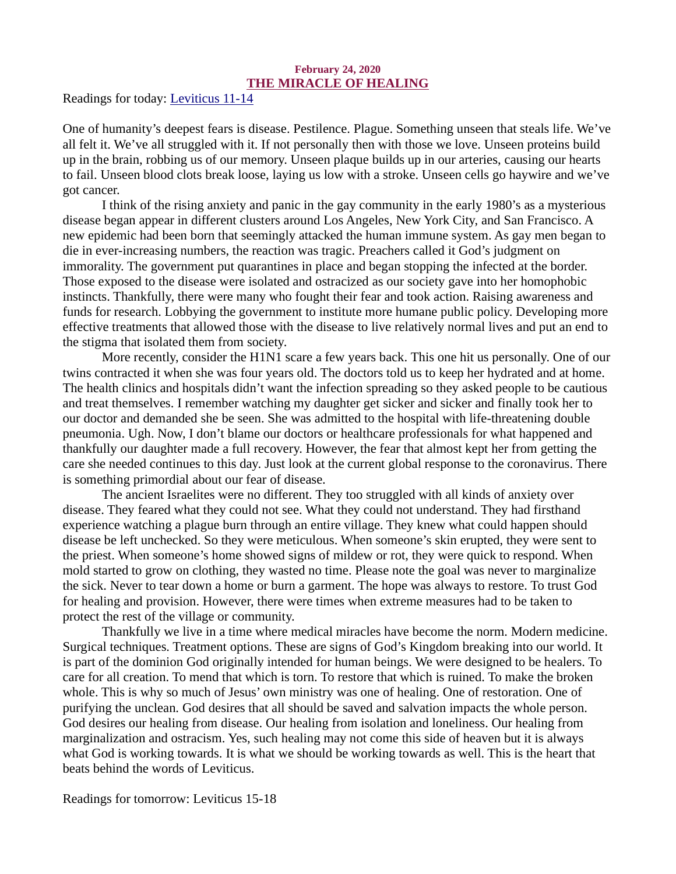#### February 24, 2020 THE MIRACLE OF HEALING

<span id="page-29-0"></span>[Readings for today: Leviticus 11-14](https://www.biblegateway.com/passage/?search=Leviticus+11-14&version=ESV)

One of humanity's deepest fears is disease. Pestilence. Plague. Something unseen that steals life. We've all felt it. We've all struggled with it. If not personally then with those we love. Unseen proteins build up in the brain, robbing us of our memory. Unseen plaque builds up in our arteries, causing our hearts to fail. Unseen blood clots break loose, laying us low with a stroke. Unseen cells go haywire and we've got cancer.

I think of the rising anxiety and panic in the gay community in the early 1980's as a mysterious disease began appear in different clusters around Los Angeles, New York City, and San Francisco. A new epidemic had been born that seemingly attacked the human immune system. As gay men began to die in ever-increasing numbers, the reaction was tragic. Preachers called it God's judgment on immorality. The government put quarantines in place and began stopping the infected at the border. Those exposed to the disease were isolated and ostracized as our society gave into her homophobic instincts. Thankfully, there were many who fought their fear and took action. Raising awareness and funds for research. Lobbying the government to institute more humane public policy. Developing more effective treatments that allowed those with the disease to live relatively normal lives and put an end to the stigma that isolated them from society.

More recently, consider the H1N1 scare a few years back. This one hit us personally. One of our twins contracted it when she was four years old. The doctors told us to keep her hydrated and at home. The health clinics and hospitals didn't want the infection spreading so they asked people to be cautious and treat themselves. I remember watching my daughter get sicker and sicker and finally took her to our doctor and demanded she be seen. She was admitted to the hospital with life-threatening double pneumonia. Ugh. Now, I don't blame our doctors or healthcare professionals for what happened and thankfully our daughter made a full recovery. However, the fear that almost kept her from getting the care she needed continues to this day. Just look at the current global response to the coronavirus. There is something primordial about our fear of disease.

The ancient Israelites were no different. They too struggled with all kinds of anxiety over disease. They feared what they could not see. What they could not understand. They had firsthand experience watching a plague burn through an entire village. They knew what could happen should disease be left unchecked. So they were meticulous. When someone's skin erupted, they were sent to the priest. When someone's home showed signs of mildew or rot, they were quick to respond. When mold started to grow on clothing, they wasted no time. Please note the goal was never to marginalize the sick. Never to tear down a home or burn a garment. The hope was always to restore. To trust God for healing and provision. However, there were times when extreme measures had to be taken to protect the rest of the village or community.

Thankfully we live in a time where medical miracles have become the norm. Modern medicine. Surgical techniques. Treatment options. These are signs of God's Kingdom breaking into our world. It is part of the dominion God originally intended for human beings. We were designed to be healers. To care for all creation. To mend that which is torn. To restore that which is ruined. To make the broken whole. This is why so much of Jesus' own ministry was one of healing. One of restoration. One of purifying the unclean. God desires that all should be saved and salvation impacts the whole person. God desires our healing from disease. Our healing from isolation and loneliness. Our healing from marginalization and ostracism. Yes, such healing may not come this side of heaven but it is always what God is working towards. It is what we should be working towards as well. This is the heart that beats behind the words of Leviticus.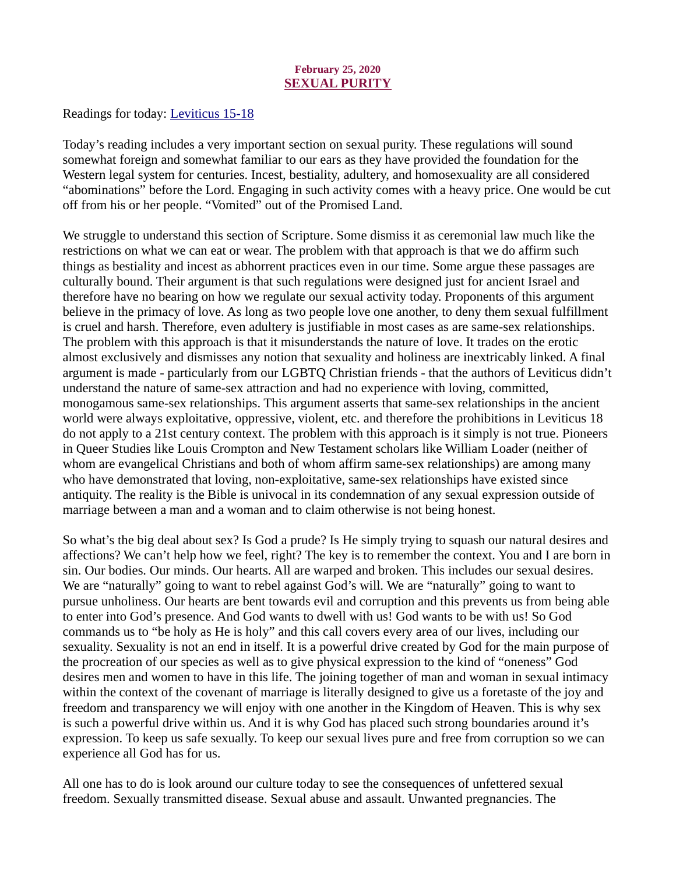### February 25, 2020 SEXUAL PURITY

<span id="page-30-0"></span>[Readings for today: Leviticus 15-18](https://www.biblegateway.com/passage/?search=Leviticus+15-18&version=ESV)

Today's reading includes a very important section on sexual purity. These regulations will sound somewhat foreign and somewhat familiar to our ears as they have provided the foundation for the Western legal system for centuries. Incest, bestiality, adultery, and homosexuality are all considered "abominations" before the Lord. Engaging in such activity comes with a heavy price. One would be cut off from his or her people. "Vomited" out of the Promised Land.

We struggle to understand this section of Scripture. Some dismiss it as ceremonial law much like the restrictions on what we can eat or wear. The problem with that approach is that we do affirm such things as bestiality and incest as abhorrent practices even in our time. Some argue these passages are culturally bound. Their argument is that such regulations were designed just for ancient Israel and therefore have no bearing on how we regulate our sexual activity today. Proponents of this argument believe in the primacy of love. As long as two people love one another, to deny them sexual fulfillment is cruel and harsh. Therefore, even adultery is justifiable in most cases as are same-sex relationships. The problem with this approach is that it misunderstands the nature of love. It trades on the erotic almost exclusively and dismisses any notion that sexuality and holiness are inextricably linked. A final argument is made - particularly from our LGBTQ Christian friends - that the authors of Leviticus didn't understand the nature of same-sex attraction and had no experience with loving, committed, monogamous same-sex relationships. This argument asserts that same-sex relationships in the ancient world were always exploitative, oppressive, violent, etc. and therefore the prohibitions in Leviticus 18 do not apply to a 21st century context. The problem with this approach is it simply is not true. Pioneers in Queer Studies like Louis Crompton and New Testament scholars like William Loader (neither of whom are evangelical Christians and both of whom affirm same-sex relationships) are among many who have demonstrated that loving, non-exploitative, same-sex relationships have existed since antiquity. The reality is the Bible is univocal in its condemnation of any sexual expression outside of marriage between a man and a woman and to claim otherwise is not being honest.

So what's the big deal about sex? Is God a prude? Is He simply trying to squash our natural desires and affections? We can't help how we feel, right? The key is to remember the context. You and I are born in sin. Our bodies. Our minds. Our hearts. All are warped and broken. This includes our sexual desires. We are "naturally" going to want to rebel against God's will. We are "naturally" going to want to pursue unholiness. Our hearts are bent towards evil and corruption and this prevents us from being able to enter into God's presence. And God wants to dwell with us! God wants to be with us! So God commands us to "be holy as He is holy" and this call covers every area of our lives, including our sexuality. Sexuality is not an end in itself. It is a powerful drive created by God for the main purpose of the procreation of our species as well as to give physical expression to the kind of "oneness" God desires men and women to have in this life. The joining together of man and woman in sexual intimacy within the context of the covenant of marriage is literally designed to give us a foretaste of the joy and freedom and transparency we will enjoy with one another in the Kingdom of Heaven. This is why sex is such a powerful drive within us. And it is why God has placed such strong boundaries around it's expression. To keep us safe sexually. To keep our sexual lives pure and free from corruption so we can experience all God has for us.

All one has to do is look around our culture today to see the consequences of unfettered sexual freedom. Sexually transmitted disease. Sexual abuse and assault. Unwanted pregnancies. The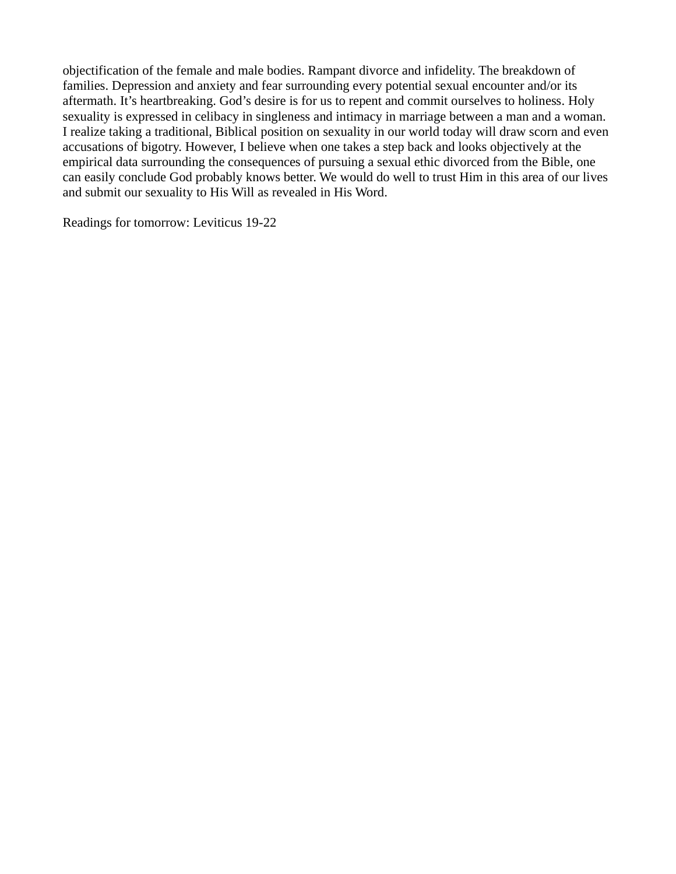objectification of the female and male bodies. Rampant divorce and infidelity. The breakdown of families. Depression and anxiety and fear surrounding every potential sexual encounter and/or its aftermath. It's heartbreaking. God's desire is for us to repent and commit ourselves to holiness. Holy sexuality is expressed in celibacy in singleness and intimacy in marriage between a man and a woman. I realize taking a traditional, Biblical position on sexuality in our world today will draw scorn and even accusations of bigotry. However, I believe when one takes a step back and looks objectively at the empirical data surrounding the consequences of pursuing a sexual ethic divorced from the Bible, one can easily conclude God probably knows better. We would do well to trust Him in this area of our lives and submit our sexuality to His Will as revealed in His Word.

Readings for tomorrow: Leviticus 19-22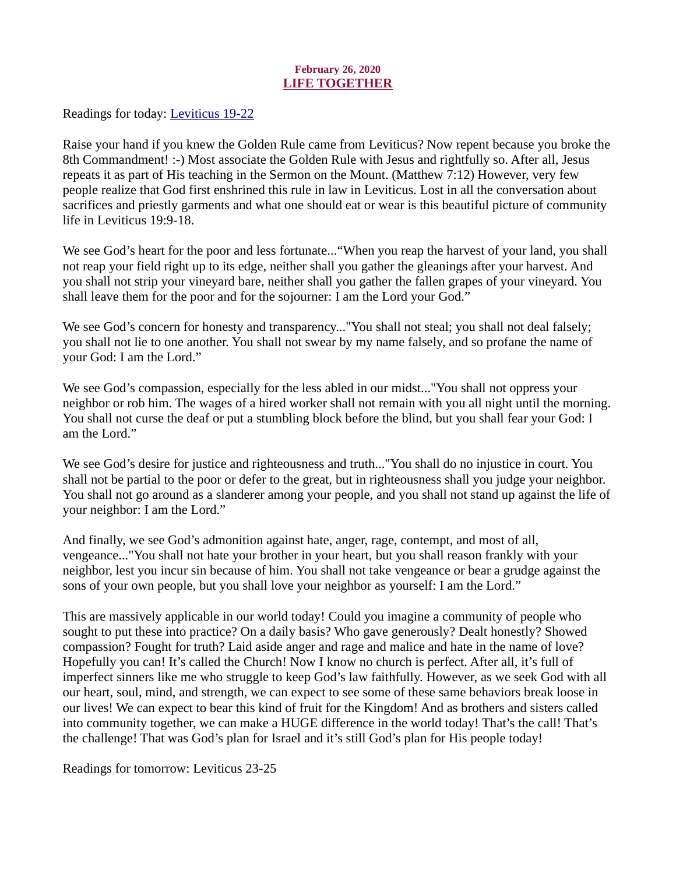# February 26, 2020 LIFE TOGETHER

<span id="page-32-0"></span>[Readings for today: Leviticus 19-22](https://www.biblegateway.com/passage/?search=Leviticus+19-22&version=ESV)

Raise your hand if you knew the Golden Rule came from Leviticus? Now repent because you broke the 8th Commandment! :-) Most associate the Golden Rule with Jesus and rightfully so. After all, Jesus repeats it as part of His teaching in the Sermon on the Mount. (Matthew 7:12) However, very few people realize that God first enshrined this rule in law in Leviticus. Lost in all the conversation about sacrifices and priestly garments and what one should eat or wear is this beautiful picture of community life in Leviticus 19:9-18.

We see God's heart for the poor and less fortunate..."When you reap the harvest of your land, you shall not reap your field right up to its edge, neither shall you gather the gleanings after your harvest. And you shall not strip your vineyard bare, neither shall you gather the fallen grapes of your vineyard. You shall leave them for the poor and for the sojourner: I am the Lord your God."

We see God's concern for honesty and transparency..."You shall not steal; you shall not deal falsely; you shall not lie to one another. You shall not swear by my name falsely, and so profane the name of your God: I am the Lord."

We see God's compassion, especially for the less abled in our midst..."You shall not oppress your neighbor or rob him. The wages of a hired worker shall not remain with you all night until the morning. You shall not curse the deaf or put a stumbling block before the blind, but you shall fear your God: I am the Lord."

We see God's desire for justice and righteousness and truth..."You shall do no injustice in court. You shall not be partial to the poor or defer to the great, but in righteousness shall you judge your neighbor. You shall not go around as a slanderer among your people, and you shall not stand up against the life of your neighbor: I am the Lord."

And finally, we see God's admonition against hate, anger, rage, contempt, and most of all, vengeance..."You shall not hate your brother in your heart, but you shall reason frankly with your neighbor, lest you incur sin because of him. You shall not take vengeance or bear a grudge against the sons of your own people, but you shall love your neighbor as yourself: I am the Lord."

This are massively applicable in our world today! Could you imagine a community of people who sought to put these into practice? On a daily basis? Who gave generously? Dealt honestly? Showed compassion? Fought for truth? Laid aside anger and rage and malice and hate in the name of love? Hopefully you can! It's called the Church! Now I know no church is perfect. After all, it's full of imperfect sinners like me who struggle to keep God's law faithfully. However, as we seek God with all our heart, soul, mind, and strength, we can expect to see some of these same behaviors break loose in our lives! We can expect to bear this kind of fruit for the Kingdom! And as brothers and sisters called into community together, we can make a HUGE difference in the world today! That's the call! That's the challenge! That was God's plan for Israel and it's still God's plan for His people today!

Readings for tomorrow: Leviticus 23-25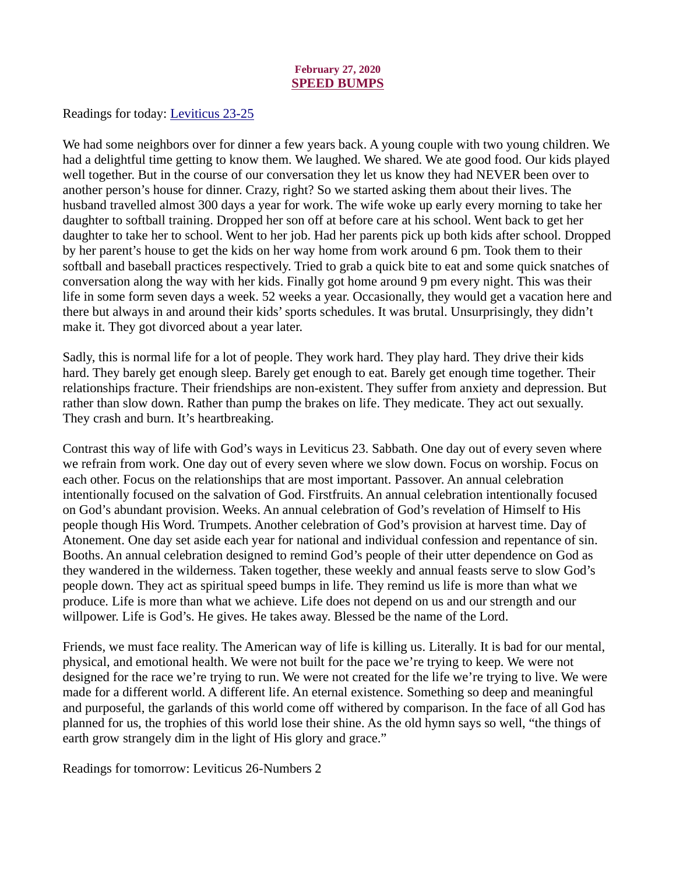#### February 27, 2020 SPEED BUMPS

<span id="page-33-0"></span>[Readings for today: Leviticus 23-25](https://www.biblegateway.com/passage/?search=Leviticus+23-25&version=ESV)

We had some neighbors over for dinner a few years back. A young couple with two young children. We had a delightful time getting to know them. We laughed. We shared. We ate good food. Our kids played well together. But in the course of our conversation they let us know they had NEVER been over to another person's house for dinner. Crazy, right? So we started asking them about their lives. The husband travelled almost 300 days a year for work. The wife woke up early every morning to take her daughter to softball training. Dropped her son off at before care at his school. Went back to get her daughter to take her to school. Went to her job. Had her parents pick up both kids after school. Dropped by her parent's house to get the kids on her way home from work around 6 pm. Took them to their softball and baseball practices respectively. Tried to grab a quick bite to eat and some quick snatches of conversation along the way with her kids. Finally got home around 9 pm every night. This was their life in some form seven days a week. 52 weeks a year. Occasionally, they would get a vacation here and there but always in and around their kids' sports schedules. It was brutal. Unsurprisingly, they didn't make it. They got divorced about a year later.

Sadly, this is normal life for a lot of people. They work hard. They play hard. They drive their kids hard. They barely get enough sleep. Barely get enough to eat. Barely get enough time together. Their relationships fracture. Their friendships are non-existent. They suffer from anxiety and depression. But rather than slow down. Rather than pump the brakes on life. They medicate. They act out sexually. They crash and burn. It's heartbreaking.

Contrast this way of life with God's ways in Leviticus 23. Sabbath. One day out of every seven where we refrain from work. One day out of every seven where we slow down. Focus on worship. Focus on each other. Focus on the relationships that are most important. Passover. An annual celebration intentionally focused on the salvation of God. Firstfruits. An annual celebration intentionally focused on God's abundant provision. Weeks. An annual celebration of God's revelation of Himself to His people though His Word. Trumpets. Another celebration of God's provision at harvest time. Day of Atonement. One day set aside each year for national and individual confession and repentance of sin. Booths. An annual celebration designed to remind God's people of their utter dependence on God as they wandered in the wilderness. Taken together, these weekly and annual feasts serve to slow God's people down. They act as spiritual speed bumps in life. They remind us life is more than what we produce. Life is more than what we achieve. Life does not depend on us and our strength and our willpower. Life is God's. He gives. He takes away. Blessed be the name of the Lord.

Friends, we must face reality. The American way of life is killing us. Literally. It is bad for our mental, physical, and emotional health. We were not built for the pace we're trying to keep. We were not designed for the race we're trying to run. We were not created for the life we're trying to live. We were made for a different world. A different life. An eternal existence. Something so deep and meaningful and purposeful, the garlands of this world come off withered by comparison. In the face of all God has planned for us, the trophies of this world lose their shine. As the old hymn says so well, "the things of earth grow strangely dim in the light of His glory and grace."

Readings for tomorrow: Leviticus 26-Numbers 2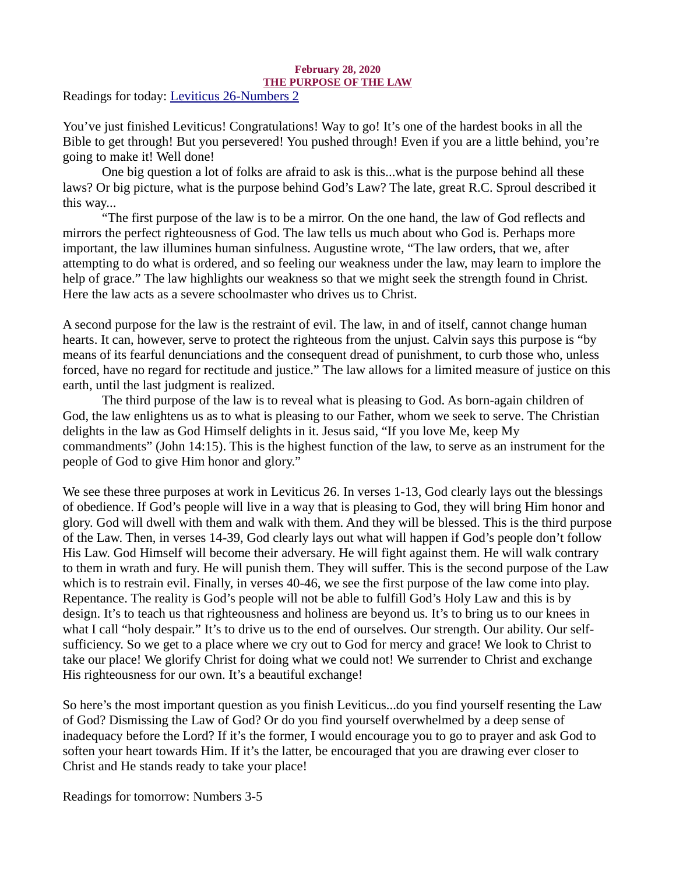# February 28, 2020 THE PURPOSE OF THE LAW

<span id="page-34-0"></span>[Readings for today: Leviticus 26-Numbers 2](https://www.biblegateway.com/passage/?search=Leviticus+26-Numbers+2&version=ESV)

You've just finished Leviticus! Congratulations! Way to go! It's one of the hardest books in all the Bible to get through! But you persevered! You pushed through! Even if you are a little behind, you're going to make it! Well done!

One big question a lot of folks are afraid to ask is this...what is the purpose behind all these laws? Or big picture, what is the purpose behind God's Law? The late, great R.C. Sproul described it this way...

"The first purpose of the law is to be a mirror. On the one hand, the law of God reflects and mirrors the perfect righteousness of God. The law tells us much about who God is. Perhaps more important, the law illumines human sinfulness. Augustine wrote, "The law orders, that we, after attempting to do what is ordered, and so feeling our weakness under the law, may learn to implore the help of grace." The law highlights our weakness so that we might seek the strength found in Christ. Here the law acts as a severe schoolmaster who drives us to Christ.

A second purpose for the law is the restraint of evil. The law, in and of itself, cannot change human hearts. It can, however, serve to protect the righteous from the unjust. Calvin says this purpose is "by means of its fearful denunciations and the consequent dread of punishment, to curb those who, unless forced, have no regard for rectitude and justice." The law allows for a limited measure of justice on this earth, until the last judgment is realized.

The third purpose of the law is to reveal what is pleasing to God. As born-again children of God, the law enlightens us as to what is pleasing to our Father, whom we seek to serve. The Christian delights in the law as God Himself delights in it. Jesus said, "If you love Me, keep My commandments" (John 14:15). This is the highest function of the law, to serve as an instrument for the people of God to give Him honor and glory."

We see these three purposes at work in Leviticus 26. In verses 1-13, God clearly lays out the blessings of obedience. If God's people will live in a way that is pleasing to God, they will bring Him honor and glory. God will dwell with them and walk with them. And they will be blessed. This is the third purpose of the Law. Then, in verses 14-39, God clearly lays out what will happen if God's people don't follow His Law. God Himself will become their adversary. He will fight against them. He will walk contrary to them in wrath and fury. He will punish them. They will suffer. This is the second purpose of the Law which is to restrain evil. Finally, in verses 40-46, we see the first purpose of the law come into play. Repentance. The reality is God's people will not be able to fulfill God's Holy Law and this is by design. It's to teach us that righteousness and holiness are beyond us. It's to bring us to our knees in what I call "holy despair." It's to drive us to the end of ourselves. Our strength. Our ability. Our selfsufficiency. So we get to a place where we cry out to God for mercy and grace! We look to Christ to take our place! We glorify Christ for doing what we could not! We surrender to Christ and exchange His righteousness for our own. It's a beautiful exchange!

So here's the most important question as you finish Leviticus...do you find yourself resenting the Law of God? Dismissing the Law of God? Or do you find yourself overwhelmed by a deep sense of inadequacy before the Lord? If it's the former, I would encourage you to go to prayer and ask God to soften your heart towards Him. If it's the latter, be encouraged that you are drawing ever closer to Christ and He stands ready to take your place!

Readings for tomorrow: Numbers 3-5